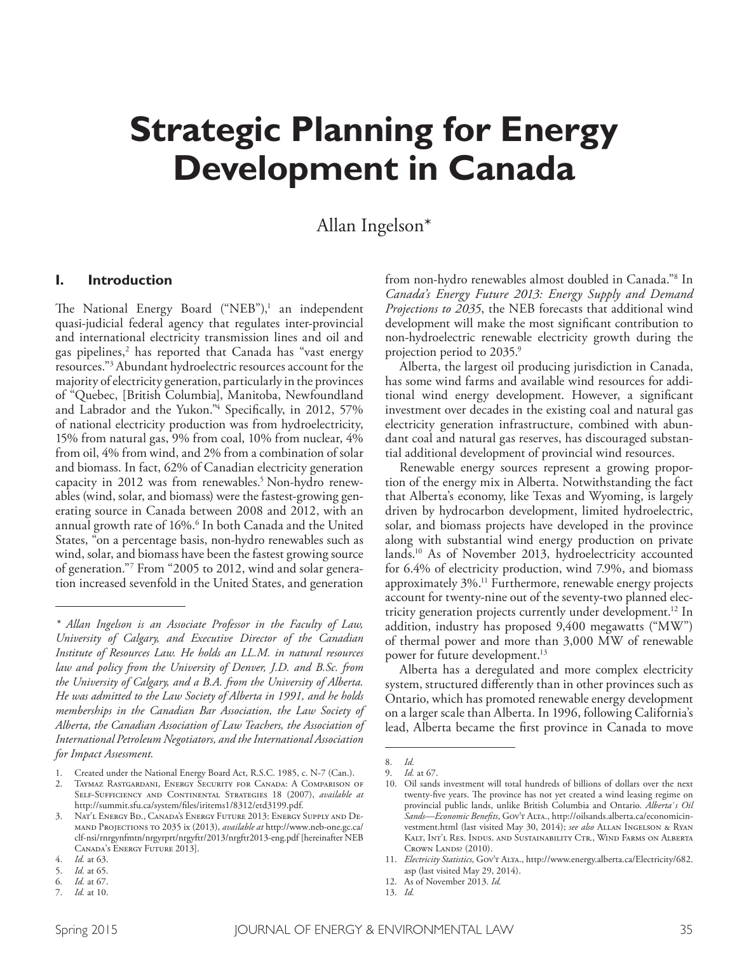# **Strategic Planning for Energy Development in Canada**

## Allan Ingelson\*

#### **I. Introduction**

The National Energy Board ("NEB"),<sup>1</sup> an independent quasi-judicial federal agency that regulates inter-provincial and international electricity transmission lines and oil and gas pipelines,2 has reported that Canada has "vast energy resources."3 Abundant hydroelectric resources account for the majority of electricity generation, particularly in the provinces of "Quebec, [British Columbia], Manitoba, Newfoundland and Labrador and the Yukon." 4 Specifcally, in 2012, 57% of national electricity production was from hydroelectricity, 15% from natural gas, 9% from coal, 10% from nuclear, 4% from oil, 4% from wind, and 2% from a combination of solar and biomass. In fact, 62% of Canadian electricity generation capacity in 2012 was from renewables. 5 Non-hydro renewables (wind, solar, and biomass) were the fastest-growing generating source in Canada between 2008 and 2012, with an annual growth rate of 16%. 6 In both Canada and the United States, "on a percentage basis, non-hydro renewables such as wind, solar, and biomass have been the fastest growing source of generation."7 From "2005 to 2012, wind and solar generation increased sevenfold in the United States, and generation

from non-hydro renewables almost doubled in Canada."8 In *Canada's Energy Future 2013: Energy Supply and Demand Projections to 2035*, the NEB forecasts that additional wind development will make the most signifcant contribution to non-hydroelectric renewable electricity growth during the projection period to 2035. 9

Alberta, the largest oil producing jurisdiction in Canada, has some wind farms and available wind resources for additional wind energy development. However, a signifcant investment over decades in the existing coal and natural gas electricity generation infrastructure, combined with abundant coal and natural gas reserves, has discouraged substantial additional development of provincial wind resources.

Renewable energy sources represent a growing proportion of the energy mix in Alberta. Notwithstanding the fact that Alberta's economy, like Texas and Wyoming, is largely driven by hydrocarbon development, limited hydroelectric, solar, and biomass projects have developed in the province along with substantial wind energy production on private lands. <sup>10</sup> As of November 2013, hydroelectricity accounted for 6.4% of electricity production, wind 7.9%, and biomass approximately 3%. 11 Furthermore, renewable energy projects account for twenty-nine out of the seventy-two planned electricity generation projects currently under development. 12 In addition, industry has proposed 9,400 megawatts ("MW") of thermal power and more than 3,000 MW of renewable power for future development. 13

Alberta has a deregulated and more complex electricity system, structured diferently than in other provinces such as Ontario, which has promoted renewable energy development on a larger scale than Alberta. In 1996, following California's lead, Alberta became the frst province in Canada to move

*<sup>\*</sup> Allan Ingelson is an Associate Professor in the Faculty of Law, University of Calgary, and Executive Director of the Canadian Institute of Resources Law. He holds an LL.M. in natural resources law and policy from the University of Denver, J.D. and B.Sc. from the University of Calgary, and a B.A. from the University of Alberta. He was admitted to the Law Society of Alberta in 1991, and he holds memberships in the Canadian Bar Association, the Law Society of Alberta, the Canadian Association of Law Teachers, the Association of International Petroleum Negotiators, and the International Association for Impact Assessment.*

<sup>1.</sup> Created under the National Energy Board Act, R.S.C. 1985, c. N-7 (Can.).

<sup>2.</sup> Taymaz Rastgardani, Energy Security for Canada: A Comparison of Self-Sufficiency and Continental Strategies 18 (2007), *available at* http://summit.sfu.ca/system/fles/iritems1/8312/etd3199.pdf.

Nat'l Energy Bd., Canada's Energy Future 2013: Energy Supply and Demand Projections to 2035 ix (2013), *available at* http://www.neb-one.gc.ca/ clf-nsi/rnrgynfmtn/nrgyrprt/nrgyftr/2013/nrgftr2013-eng.pdf [hereinafter NEB Canada's Energy Future 2013].

<sup>4.</sup> *Id.* at 63.

<sup>5.</sup> *Id.* at 65. 6. *Id.* at 67.

<sup>7.</sup> *Id.* at 10.

<sup>8.</sup> *Id.* 9. *Id.* at 67.

<sup>10.</sup> Oil sands investment will total hundreds of billions of dollars over the next twenty-five years. The province has not yet created a wind leasing regime on provincial public lands, unlike British Columbia and Ontario. *Alberta`s Oil Sands—Economic Benefts*, Gov't Alta., http://oilsands.alberta.ca/economicinvestment.html (last visited May 30, 2014); *see also* Allan Ingelson & Ryan Kalt, Int'l Res. Indus. and Sustainability Ctr., Wind Farms on Alberta CROWN LANDS? (2010).

<sup>11.</sup> *Electricity Statistics*, Gov't Alta., http://www.energy.alberta.ca/Electricity/682. asp (last visited May 29, 2014).

<sup>12.</sup> As of November 2013. *Id.*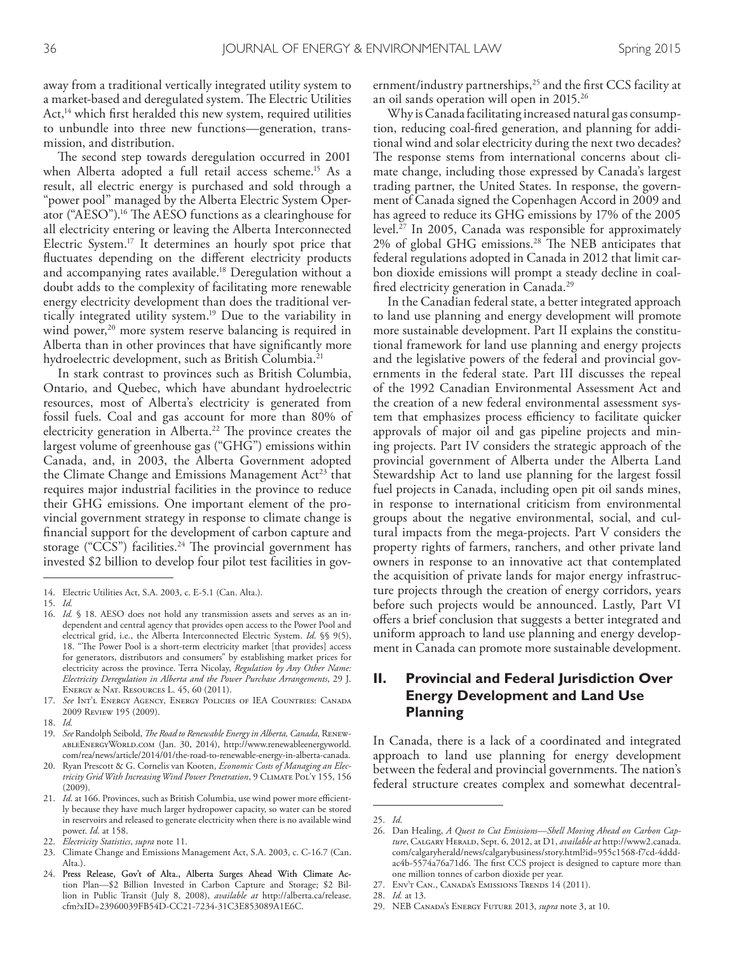away from a traditional vertically integrated utility system to a market-based and deregulated system. The Electric Utilities Act, $<sup>14</sup>$  which first heralded this new system, required utilities</sup> to unbundle into three new functions—generation, transmission, and distribution.

The second step towards deregulation occurred in 2001 when Alberta adopted a full retail access scheme. 15 As a result, all electric energy is purchased and sold through a "power pool" managed by the Alberta Electric System Operator ("AESO").<sup>16</sup> The AESO functions as a clearinghouse for all electricity entering or leaving the Alberta Interconnected Electric System. 17 It determines an hourly spot price that fuctuates depending on the diferent electricity products and accompanying rates available. 18 Deregulation without a doubt adds to the complexity of facilitating more renewable energy electricity development than does the traditional vertically integrated utility system. 19 Due to the variability in wind power,<sup>20</sup> more system reserve balancing is required in Alberta than in other provinces that have signifcantly more hydroelectric development, such as British Columbia. 21

In stark contrast to provinces such as British Columbia, Ontario, and Quebec, which have abundant hydroelectric resources, most of Alberta's electricity is generated from fossil fuels. Coal and gas account for more than 80% of electricity generation in Alberta.<sup>22</sup> The province creates the largest volume of greenhouse gas ("GHG") emissions within Canada, and, in 2003, the Alberta Government adopted the Climate Change and Emissions Management Act<sup>23</sup> that requires major industrial facilities in the province to reduce their GHG emissions. One important element of the provincial government strategy in response to climate change is fnancial support for the development of carbon capture and storage ("CCS") facilities.<sup>24</sup> The provincial government has invested \$2 billion to develop four pilot test facilities in government/industry partnerships,<sup>25</sup> and the first CCS facility at an oil sands operation will open in 2015. 26

Why is Canada facilitating increased natural gas consumption, reducing coal-fred generation, and planning for additional wind and solar electricity during the next two decades? The response stems from international concerns about climate change, including those expressed by Canada's largest trading partner, the United States. In response, the government of Canada signed the Copenhagen Accord in 2009 and has agreed to reduce its GHG emissions by 17% of the 2005 level. 27 In 2005, Canada was responsible for approximately  $2\%$  of global GHG emissions.<sup>28</sup> The NEB anticipates that federal regulations adopted in Canada in 2012 that limit carbon dioxide emissions will prompt a steady decline in coalfred electricity generation in Canada. 29

In the Canadian federal state, a better integrated approach to land use planning and energy development will promote more sustainable development. Part II explains the constitutional framework for land use planning and energy projects and the legislative powers of the federal and provincial governments in the federal state. Part III discusses the repeal of the 1992 Canadian Environmental Assessment Act and the creation of a new federal environmental assessment system that emphasizes process efficiency to facilitate quicker approvals of major oil and gas pipeline projects and mining projects. Part IV considers the strategic approach of the provincial government of Alberta under the Alberta Land Stewardship Act to land use planning for the largest fossil fuel projects in Canada, including open pit oil sands mines, in response to international criticism from environmental groups about the negative environmental, social, and cultural impacts from the mega-projects. Part V considers the property rights of farmers, ranchers, and other private land owners in response to an innovative act that contemplated the acquisition of private lands for major energy infrastructure projects through the creation of energy corridors, years before such projects would be announced. Lastly, Part VI ofers a brief conclusion that suggests a better integrated and uniform approach to land use planning and energy development in Canada can promote more sustainable development.

#### **II. Provincial and Federal Jurisdiction Over Energy Development and Land Use Planning**

In Canada, there is a lack of a coordinated and integrated approach to land use planning for energy development between the federal and provincial governments. The nation's federal structure creates complex and somewhat decentral-

<sup>14.</sup> Electric Utilities Act, S.A. 2003, c. E-5.1 (Can. Alta.).

<sup>15.</sup> *Id.*

<sup>16.</sup> *Id.* § 18. AESO does not hold any transmission assets and serves as an independent and central agency that provides open access to the Power Pool and electrical grid, i.e*.*, the Alberta Interconnected Electric System. *Id*. §§ 9(5), 18. "The Power Pool is a short-term electricity market [that provides] access for generators, distributors and consumers" by establishing market prices for electricity across the province. Terra Nicolay, *Regulation by Any Other Name: Electricity Deregulation in Alberta and the Power Purchase Arrangements*, 29 J. Energy & Nat. Resources L. 45, 60 (2011).

<sup>17.</sup> *See* Int'l Energy Agency, Energy Policies of IEA Countries: Canada 2009 Review 195 (2009).

<sup>18.</sup> *Id.*

<sup>19.</sup> *See* Randolph Seibold, *Te Road to Renewable Energy in Alberta, Canada,* RenewableEnergyWorld.com (Jan. 30, 2014), http://www.renewableenergyworld. com/rea/news/article/2014/01/the-road-to-renewable-energy-in-alberta-canada.

<sup>20.</sup> Ryan Prescott & G. Cornelis van Kooten, *Economic Costs of Managing an Electricity Grid With Increasing Wind Power Penetration*, 9 Climate Pol'y 155, 156 (2009).

<sup>21.</sup> *Id.* at 166. Provinces, such as British Columbia, use wind power more efficiently because they have much larger hydropower capacity, so water can be stored in reservoirs and released to generate electricity when there is no available wind power. *Id*. at 158.

<sup>22.</sup> *Electricity Statistics*, *supra* note 11.

<sup>23.</sup> Climate Change and Emissions Management Act, S.A. 2003, c. C-16.7 (Can. Alta.).

<sup>24.</sup> Press Release, Gov't of Alta., Alberta Surges Ahead With Climate Action Plan—\$2 Billion Invested in Carbon Capture and Storage; \$2 Billion in Public Transit (July 8, 2008), *available at* http://alberta.ca/release. cfm?xID=23960039FB54D-CC21-7234-31C3E853089A1E6C.

<sup>25.</sup> *Id*.

<sup>26.</sup> Dan Healing, *A Quest to Cut Emissions—Shell Moving Ahead on Carbon Capture*, Calgary Herald, Sept. 6, 2012, at D1, *available at* http://www2.canada. com/calgaryherald/news/calgarybusiness/story.html?id=955c1568-f7cd-4dddac4b-5574a76a71d6. The first CCS project is designed to capture more than one million tonnes of carbon dioxide per year.

<sup>27.</sup> Env't Can., Canada's Emissions Trends 14 (2011).

<sup>28.</sup> *Id.* at 13.

<sup>29.</sup> NEB Canada's Energy Future 2013, *supra* note 3, at 10.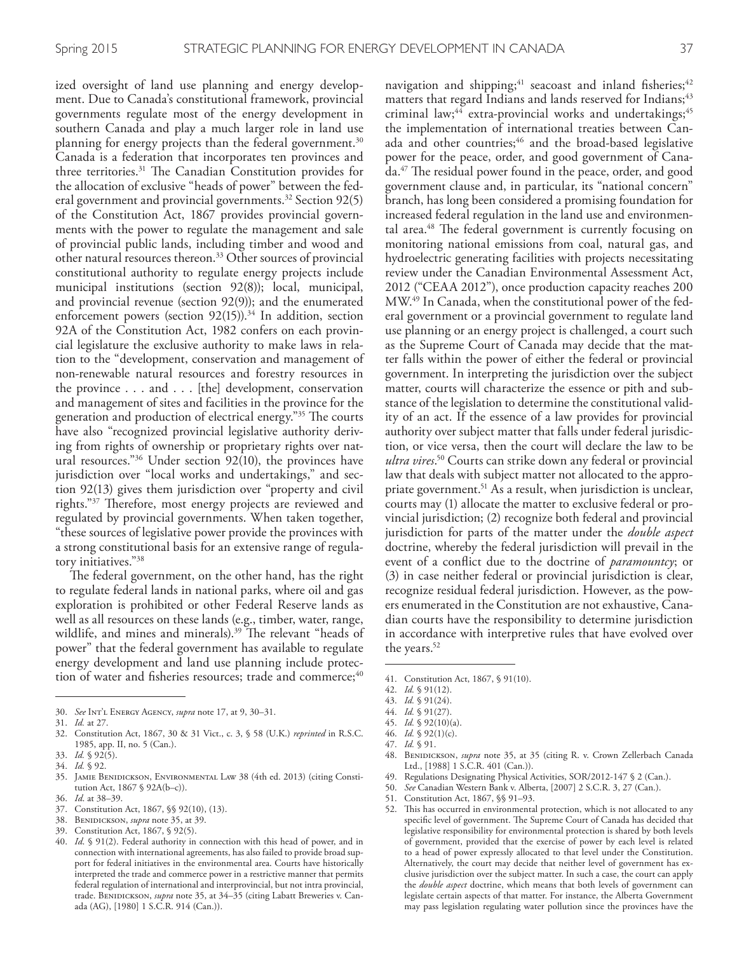ized oversight of land use planning and energy development. Due to Canada's constitutional framework, provincial governments regulate most of the energy development in southern Canada and play a much larger role in land use planning for energy projects than the federal government. 30 Canada is a federation that incorporates ten provinces and three territories.<sup>31</sup> The Canadian Constitution provides for the allocation of exclusive "heads of power" between the federal government and provincial governments. 32 Section 92(5) of the Constitution Act, 1867 provides provincial governments with the power to regulate the management and sale of provincial public lands, including timber and wood and other natural resources thereon. 33 Other sources of provincial constitutional authority to regulate energy projects include municipal institutions (section 92(8)); local, municipal, and provincial revenue (section 92(9)); and the enumerated enforcement powers (section 92(15)). 34 In addition, section 92A of the Constitution Act, 1982 confers on each provincial legislature the exclusive authority to make laws in relation to the "development, conservation and management of non-renewable natural resources and forestry resources in the province . . . and . . . [the] development, conservation and management of sites and facilities in the province for the generation and production of electrical energy."<sup>35</sup> The courts have also "recognized provincial legislative authority deriving from rights of ownership or proprietary rights over natural resources."36 Under section 92(10), the provinces have jurisdiction over "local works and undertakings," and section 92(13) gives them jurisdiction over "property and civil rights."<sup>37</sup> Therefore, most energy projects are reviewed and regulated by provincial governments. When taken together, "these sources of legislative power provide the provinces with a strong constitutional basis for an extensive range of regulatory initiatives."38

The federal government, on the other hand, has the right to regulate federal lands in national parks, where oil and gas exploration is prohibited or other Federal Reserve lands as well as all resources on these lands (e.g., timber, water, range, wildlife, and mines and minerals).<sup>39</sup> The relevant "heads of power" that the federal government has available to regulate energy development and land use planning include protection of water and fisheries resources; trade and commerce;<sup>40</sup>

39. Constitution Act, 1867, § 92(5).

navigation and shipping;<sup>41</sup> seacoast and inland fisheries;<sup>42</sup> matters that regard Indians and lands reserved for Indians;<sup>43</sup> criminal law;<sup>44</sup> extra-provincial works and undertakings;<sup>45</sup> the implementation of international treaties between Canada and other countries;<sup>46</sup> and the broad-based legislative power for the peace, order, and good government of Canada.<sup>47</sup> The residual power found in the peace, order, and good government clause and, in particular, its "national concern" branch, has long been considered a promising foundation for increased federal regulation in the land use and environmental area.<sup>48</sup> The federal government is currently focusing on monitoring national emissions from coal, natural gas, and hydroelectric generating facilities with projects necessitating review under the Canadian Environmental Assessment Act, 2012 ("CEAA 2012"), once production capacity reaches 200 MW. 49 In Canada, when the constitutional power of the federal government or a provincial government to regulate land use planning or an energy project is challenged, a court such as the Supreme Court of Canada may decide that the matter falls within the power of either the federal or provincial government. In interpreting the jurisdiction over the subject matter, courts will characterize the essence or pith and substance of the legislation to determine the constitutional validity of an act. If the essence of a law provides for provincial authority over subject matter that falls under federal jurisdiction, or vice versa, then the court will declare the law to be *ultra vires*. 50 Courts can strike down any federal or provincial law that deals with subject matter not allocated to the appropriate government. 51 As a result, when jurisdiction is unclear, courts may (1) allocate the matter to exclusive federal or provincial jurisdiction; (2) recognize both federal and provincial jurisdiction for parts of the matter under the *double aspect*  doctrine, whereby the federal jurisdiction will prevail in the event of a confict due to the doctrine of *paramountcy*; or (3) in case neither federal or provincial jurisdiction is clear, recognize residual federal jurisdiction. However, as the powers enumerated in the Constitution are not exhaustive, Canadian courts have the responsibility to determine jurisdiction in accordance with interpretive rules that have evolved over the years. 52

- 49. Regulations Designating Physical Activities, SOR/2012-147 § 2 (Can.).
- 50. *See* Canadian Western Bank v. Alberta, [2007] 2 S.C.R. 3, 27 (Can.).
- 51. Constitution Act, 1867, §§ 91–93.

<sup>30.</sup> *See* Int'l Energy Agency, *supra* note 17, at 9, 30–31.

<sup>31.</sup> *Id.* at 27.

<sup>32.</sup> Constitution Act, 1867, 30 & 31 Vict., c. 3, § 58 (U.K.) *reprinted* in R.S.C. 1985, app. II, no. 5 (Can.).

<sup>33.</sup> *Id.* § 92(5).

<sup>34.</sup> *Id.* § 92.

<sup>35.</sup> Jamie Benidickson, Environmental Law 38 (4th ed. 2013) (citing Constitution Act, 1867 § 92A(b–c)).

<sup>36.</sup> *Id*. at 38–39.

<sup>37.</sup> Constitution Act, 1867, §§ 92(10), (13).

<sup>38.</sup> Benidickson, *supra* note 35, at 39.

<sup>40.</sup> *Id*. § 91(2). Federal authority in connection with this head of power, and in connection with international agreements, has also failed to provide broad support for federal initiatives in the environmental area. Courts have historically interpreted the trade and commerce power in a restrictive manner that permits federal regulation of international and interprovincial, but not intra provincial, trade. BENIDICKSON, *supra* note 35, at 34-35 (citing Labatt Breweries v. Canada (AG), [1980] 1 S.C.R. 914 (Can.)).

<sup>41.</sup> Constitution Act, 1867, § 91(10).

<sup>42.</sup> *Id.* § 91(12).

<sup>43.</sup> *Id.* § 91(24).

<sup>44.</sup> *Id.* § 91(27).

<sup>45.</sup> *Id.* § 92(10)(a).

<sup>46.</sup> *Id.* § 92(1)(c).

<sup>47.</sup> *Id.* § 91.

<sup>48.</sup> Benidickson, *supra* note 35, at 35 (citing R. v. Crown Zellerbach Canada Ltd., [1988] 1 S.C.R. 401 (Can.)).

<sup>52.</sup> This has occurred in environmental protection, which is not allocated to any specific level of government. The Supreme Court of Canada has decided that legislative responsibility for environmental protection is shared by both levels of government, provided that the exercise of power by each level is related to a head of power expressly allocated to that level under the Constitution. Alternatively, the court may decide that neither level of government has exclusive jurisdiction over the subject matter. In such a case, the court can apply the *double aspect* doctrine, which means that both levels of government can legislate certain aspects of that matter. For instance, the Alberta Government may pass legislation regulating water pollution since the provinces have the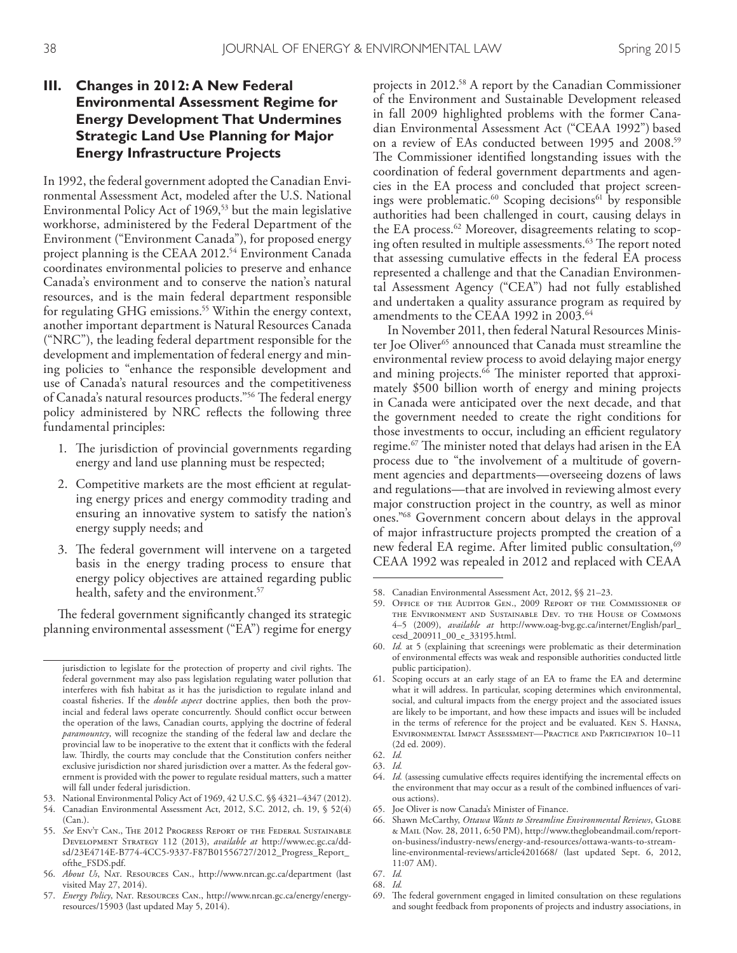### **III. Changes in 2012: A New Federal Environmental Assessment Regime for Energy Development That Undermines Strategic Land Use Planning for Major Energy Infrastructure Projects**

In 1992, the federal government adopted the Canadian Environmental Assessment Act, modeled after the U.S. National Environmental Policy Act of 1969,<sup>53</sup> but the main legislative workhorse, administered by the Federal Department of the Environment ("Environment Canada"), for proposed energy project planning is the CEAA 2012. 54 Environment Canada coordinates environmental policies to preserve and enhance Canada's environment and to conserve the nation's natural resources, and is the main federal department responsible for regulating GHG emissions. 55 Within the energy context, another important department is Natural Resources Canada ("NRC"), the leading federal department responsible for the development and implementation of federal energy and mining policies to "enhance the responsible development and use of Canada's natural resources and the competitiveness of Canada's natural resources products."<sup>56</sup> The federal energy policy administered by NRC refects the following three fundamental principles:

- 1. The jurisdiction of provincial governments regarding energy and land use planning must be respected;
- 2. Competitive markets are the most efficient at regulating energy prices and energy commodity trading and ensuring an innovative system to satisfy the nation's energy supply needs; and
- 3. The federal government will intervene on a targeted basis in the energy trading process to ensure that energy policy objectives are attained regarding public health, safety and the environment. 57

The federal government significantly changed its strategic planning environmental assessment ("EA") regime for energy

53. National Environmental Policy Act of 1969, 42 U.S.C. §§ 4321–4347 (2012).

projects in 2012. 58 A report by the Canadian Commissioner of the Environment and Sustainable Development released in fall 2009 highlighted problems with the former Canadian Environmental Assessment Act ("CEAA 1992") based on a review of EAs conducted between 1995 and 2008. 59 The Commissioner identified longstanding issues with the coordination of federal government departments and agencies in the EA process and concluded that project screenings were problematic.<sup>60</sup> Scoping decisions<sup>61</sup> by responsible authorities had been challenged in court, causing delays in the EA process. 62 Moreover, disagreements relating to scoping often resulted in multiple assessments.<sup>63</sup> The report noted that assessing cumulative effects in the federal EA process represented a challenge and that the Canadian Environmental Assessment Agency ("CEA") had not fully established and undertaken a quality assurance program as required by amendments to the CEAA 1992 in 2003. 64

In November 2011, then federal Natural Resources Minister Joe Oliver<sup>65</sup> announced that Canada must streamline the environmental review process to avoid delaying major energy and mining projects.<sup>66</sup> The minister reported that approximately \$500 billion worth of energy and mining projects in Canada were anticipated over the next decade, and that the government needed to create the right conditions for those investments to occur, including an efficient regulatory regime. $^{67}$  The minister noted that delays had arisen in the EA process due to "the involvement of a multitude of government agencies and departments—overseeing dozens of laws and regulations—that are involved in reviewing almost every major construction project in the country, as well as minor ones."68 Government concern about delays in the approval of major infrastructure projects prompted the creation of a new federal EA regime. After limited public consultation,<sup>69</sup> CEAA 1992 was repealed in 2012 and replaced with CEAA

jurisdiction to legislate for the protection of property and civil rights. The federal government may also pass legislation regulating water pollution that interferes with fsh habitat as it has the jurisdiction to regulate inland and coastal fsheries. If the *double aspect* doctrine applies, then both the provincial and federal laws operate concurrently. Should confict occur between the operation of the laws, Canadian courts, applying the doctrine of federal *paramountcy*, will recognize the standing of the federal law and declare the provincial law to be inoperative to the extent that it conficts with the federal law. Thirdly, the courts may conclude that the Constitution confers neither exclusive jurisdiction nor shared jurisdiction over a matter. As the federal government is provided with the power to regulate residual matters, such a matter will fall under federal jurisdiction.

<sup>54.</sup> Canadian Environmental Assessment Act, 2012, S.C. 2012, ch. 19, § 52(4) (Can.).

<sup>55.</sup> *See* Env't Can., The 2012 Progress Report of the Federal Sustainable Development Strategy 112 (2013), *available at* http://www.ec.gc.ca/ddsd/23E4714E-B774-4CC5-9337-F87B01556727/2012\_Progress\_Report\_ ofthe\_FSDS.pdf.

<sup>56.</sup> *About Us*, Nat. Resources Can., http://www.nrcan.gc.ca/department (last visited May 27, 2014).

<sup>57.</sup> *Energy Policy*, Nat. Resources Can., http://www.nrcan.gc.ca/energy/energyresources/15903 (last updated May 5, 2014).

<sup>58.</sup> Canadian Environmental Assessment Act, 2012, §§ 21–23.

<sup>59.</sup> Office of the Auditor Gen., 2009 Report of the Commissioner of the Environment and Sustainable Dev. to the House of Commons 4–5 (2009), *available at* http://www.oag-bvg.gc.ca/internet/English/parl\_ cesd\_200911\_00\_e\_33195.html.

<sup>60.</sup> *Id.* at 5 (explaining that screenings were problematic as their determination of environmental efects was weak and responsible authorities conducted little public participation).

<sup>61.</sup> Scoping occurs at an early stage of an EA to frame the EA and determine what it will address. In particular, scoping determines which environmental, social, and cultural impacts from the energy project and the associated issues are likely to be important, and how these impacts and issues will be included in the terms of reference for the project and be evaluated. Ken S. Hanna, Environmental Impact Assessment—Practice and Participation 10–11 (2d ed. 2009).

<sup>62.</sup> *Id.*

<sup>63.</sup> *Id.*

<sup>64.</sup> *Id.* (assessing cumulative efects requires identifying the incremental efects on the environment that may occur as a result of the combined infuences of various actions).

<sup>65.</sup> Joe Oliver is now Canada's Minister of Finance.

<sup>66.</sup> Shawn McCarthy, *Ottawa Wants to Streamline Environmental Reviews*, Globe & Mail (Nov. 28, 2011, 6:50 PM), http://www.theglobeandmail.com/reporton-business/industry-news/energy-and-resources/ottawa-wants-to-streamline-environmental-reviews/article4201668/ (last updated Sept. 6, 2012, 11:07 AM).

<sup>67.</sup> *Id.*

<sup>68.</sup> *Id.*

<sup>69.</sup> The federal government engaged in limited consultation on these regulations and sought feedback from proponents of projects and industry associations, in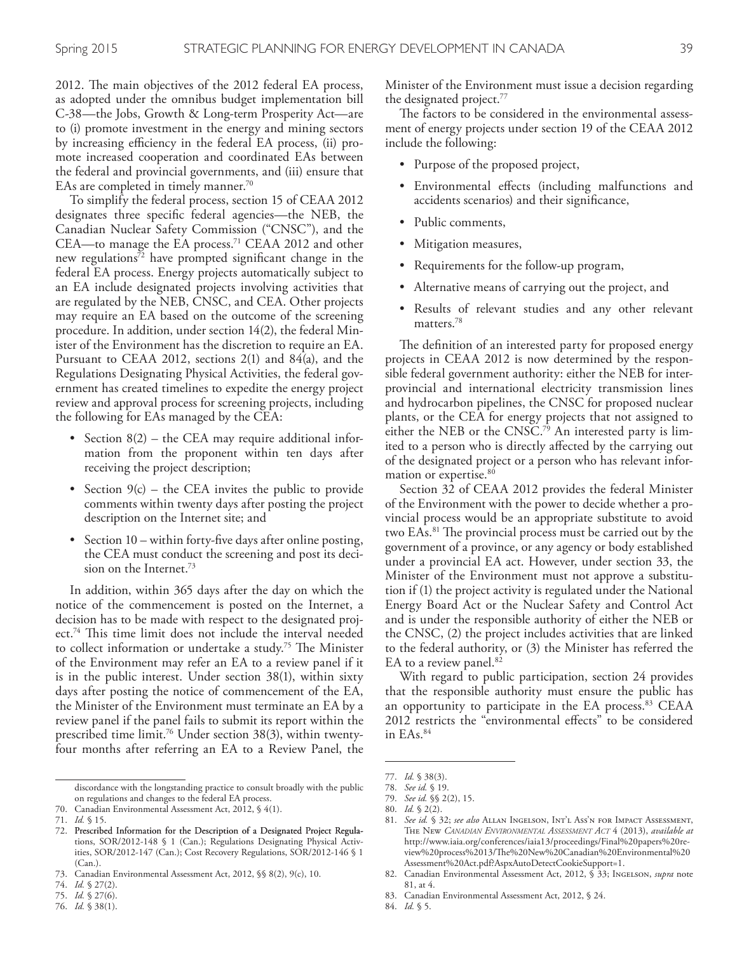2012. The main objectives of the 2012 federal EA process, as adopted under the omnibus budget implementation bill C-38—the Jobs, Growth & Long-term Prosperity Act—are to (i) promote investment in the energy and mining sectors by increasing efficiency in the federal EA process, (ii) promote increased cooperation and coordinated EAs between the federal and provincial governments, and (iii) ensure that EAs are completed in timely manner. 70

To simplify the federal process, section 15 of CEAA 2012 designates three specifc federal agencies—the NEB, the Canadian Nuclear Safety Commission ("CNSC"), and the CEA—to manage the EA process. 71 CEAA 2012 and other new regulations<sup>72</sup> have prompted significant change in the federal EA process. Energy projects automatically subject to an EA include designated projects involving activities that are regulated by the NEB, CNSC, and CEA. Other projects may require an EA based on the outcome of the screening procedure. In addition, under section 14(2), the federal Minister of the Environment has the discretion to require an EA. Pursuant to CEAA 2012, sections 2(1) and 84(a), and the Regulations Designating Physical Activities, the federal government has created timelines to expedite the energy project review and approval process for screening projects, including the following for EAs managed by the CEA:

- Section  $8(2)$  the CEA may require additional information from the proponent within ten days after receiving the project description;
- Section  $9(c)$  the CEA invites the public to provide comments within twenty days after posting the project description on the Internet site; and
- Section 10 within forty-five days after online posting, the CEA must conduct the screening and post its decision on the Internet. 73

In addition, within 365 days after the day on which the notice of the commencement is posted on the Internet, a decision has to be made with respect to the designated project.<sup>74</sup> This time limit does not include the interval needed to collect information or undertake a study.<sup>75</sup> The Minister of the Environment may refer an EA to a review panel if it is in the public interest. Under section 38(1), within sixty days after posting the notice of commencement of the EA, the Minister of the Environment must terminate an EA by a review panel if the panel fails to submit its report within the prescribed time limit. 76 Under section 38(3), within twentyfour months after referring an EA to a Review Panel, the

Minister of the Environment must issue a decision regarding the designated project. 77

The factors to be considered in the environmental assessment of energy projects under section 19 of the CEAA 2012 include the following:

- Purpose of the proposed project,
- Environmental effects (including malfunctions and accidents scenarios) and their signifcance,
- Public comments,
- Mitigation measures,
- Requirements for the follow-up program,
- Alternative means of carrying out the project, and
- Results of relevant studies and any other relevant matters.<sup>78</sup>

The definition of an interested party for proposed energy projects in CEAA 2012 is now determined by the responsible federal government authority: either the NEB for interprovincial and international electricity transmission lines and hydrocarbon pipelines, the CNSC for proposed nuclear plants, or the CEA for energy projects that not assigned to either the NEB or the CNSC. 79 An interested party is limited to a person who is directly afected by the carrying out of the designated project or a person who has relevant information or expertise. 80

Section 32 of CEAA 2012 provides the federal Minister of the Environment with the power to decide whether a provincial process would be an appropriate substitute to avoid two EAs.<sup>81</sup> The provincial process must be carried out by the government of a province, or any agency or body established under a provincial EA act. However, under section 33, the Minister of the Environment must not approve a substitution if (1) the project activity is regulated under the National Energy Board Act or the Nuclear Safety and Control Act and is under the responsible authority of either the NEB or the CNSC, (2) the project includes activities that are linked to the federal authority, or (3) the Minister has referred the EA to a review panel. 82

With regard to public participation, section 24 provides that the responsible authority must ensure the public has an opportunity to participate in the EA process. 83 CEAA 2012 restricts the "environmental efects" to be considered in EAs. 84

84. *Id.* § 5.

discordance with the longstanding practice to consult broadly with the public on regulations and changes to the federal EA process.

<sup>70.</sup> Canadian Environmental Assessment Act, 2012, § 4(1).

<sup>71.</sup> *Id.* § 15.

<sup>72.</sup> Prescribed Information for the Description of a Designated Project Regulations, SOR/2012-148 § 1 (Can.); Regulations Designating Physical Activities, SOR/2012-147 (Can.); Cost Recovery Regulations, SOR/2012-146 § 1 (Can.).

<sup>73.</sup> Canadian Environmental Assessment Act, 2012, §§ 8(2), 9(c), 10.

<sup>74.</sup> *Id.* § 27(2).

<sup>75.</sup> *Id.* § 27(6).

<sup>76.</sup> *Id.* § 38(1).

<sup>77.</sup> *Id.* § 38(3).

<sup>78.</sup> *See id.* § 19.

<sup>79.</sup> *See id.* §§ 2(2), 15.

<sup>80.</sup> *Id.* § 2(2).

<sup>81.</sup> *See id.* § 32; *see also* Allan Ingelson, Int'l Ass'n for Impact Assessment, The New *CANADIAN ENVIRONMENTAL ASSESSMENT ACT* 4 (2013), *available at* http://www.iaia.org/conferences/iaia13/proceedings/Final%20papers%20review%20process%2013/The%20New%20Canadian%20Environmental%20 Assessment%20Act.pdf?AspxAutoDetectCookieSupport=1.

<sup>82.</sup> Canadian Environmental Assessment Act, 2012, § 33; Ingelson, *supra* note 81, at 4.

<sup>83.</sup> Canadian Environmental Assessment Act, 2012, § 24.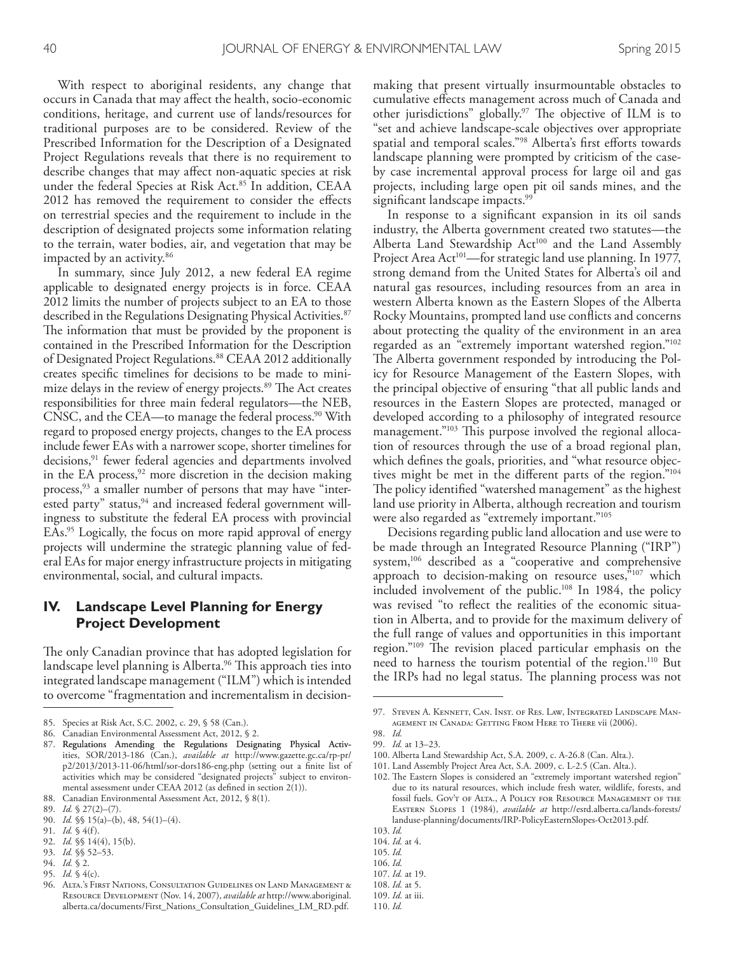With respect to aboriginal residents, any change that occurs in Canada that may afect the health, socio-economic conditions, heritage, and current use of lands/resources for traditional purposes are to be considered. Review of the Prescribed Information for the Description of a Designated Project Regulations reveals that there is no requirement to describe changes that may afect non-aquatic species at risk under the federal Species at Risk Act. 85 In addition, CEAA 2012 has removed the requirement to consider the efects on terrestrial species and the requirement to include in the description of designated projects some information relating to the terrain, water bodies, air, and vegetation that may be impacted by an activity. 86

In summary, since July 2012, a new federal EA regime applicable to designated energy projects is in force. CEAA 2012 limits the number of projects subject to an EA to those described in the Regulations Designating Physical Activities. 87 The information that must be provided by the proponent is contained in the Prescribed Information for the Description of Designated Project Regulations. 88 CEAA 2012 additionally creates specifc timelines for decisions to be made to minimize delays in the review of energy projects.<sup>89</sup> The Act creates responsibilities for three main federal regulators—the NEB, CNSC, and the CEA—to manage the federal process. 90 With regard to proposed energy projects, changes to the EA process include fewer EAs with a narrower scope, shorter timelines for decisions,<sup>91</sup> fewer federal agencies and departments involved in the EA process,<sup>92</sup> more discretion in the decision making process,<sup>93</sup> a smaller number of persons that may have "interested party" status, $94$  and increased federal government willingness to substitute the federal EA process with provincial EAs. 95 Logically, the focus on more rapid approval of energy projects will undermine the strategic planning value of federal EAs for major energy infrastructure projects in mitigating environmental, social, and cultural impacts.

#### **IV. Landscape Level Planning for Energy Project Development**

The only Canadian province that has adopted legislation for landscape level planning is Alberta.<sup>96</sup> This approach ties into integrated landscape management ("ILM") which is intended to overcome "fragmentation and incrementalism in decision-

93. *Id.* §§ 52–53.

95. *Id.* § 4(c).

making that present virtually insurmountable obstacles to cumulative efects management across much of Canada and other jurisdictions" globally.<sup>97</sup> The objective of ILM is to "set and achieve landscape-scale objectives over appropriate spatial and temporal scales."<sup>98</sup> Alberta's first efforts towards landscape planning were prompted by criticism of the caseby case incremental approval process for large oil and gas projects, including large open pit oil sands mines, and the signifcant landscape impacts. 99

In response to a signifcant expansion in its oil sands industry, the Alberta government created two statutes—the Alberta Land Stewardship Act<sup>100</sup> and the Land Assembly Project Area Act<sup>101</sup>—for strategic land use planning. In 1977, strong demand from the United States for Alberta's oil and natural gas resources, including resources from an area in western Alberta known as the Eastern Slopes of the Alberta Rocky Mountains, prompted land use conficts and concerns about protecting the quality of the environment in an area regarded as an "extremely important watershed region."102 The Alberta government responded by introducing the Policy for Resource Management of the Eastern Slopes, with the principal objective of ensuring "that all public lands and resources in the Eastern Slopes are protected, managed or developed according to a philosophy of integrated resource management."<sup>103</sup> This purpose involved the regional allocation of resources through the use of a broad regional plan, which defnes the goals, priorities, and "what resource objectives might be met in the diferent parts of the region."104 The policy identified "watershed management" as the highest land use priority in Alberta, although recreation and tourism were also regarded as "extremely important."<sup>105</sup>

Decisions regarding public land allocation and use were to be made through an Integrated Resource Planning ("IRP") system,<sup>106</sup> described as a "cooperative and comprehensive approach to decision-making on resource uses, $\frac{5107}{107}$  which included involvement of the public. 108 In 1984, the policy was revised "to refect the realities of the economic situation in Alberta, and to provide for the maximum delivery of the full range of values and opportunities in this important region."<sup>109</sup> The revision placed particular emphasis on the need to harness the tourism potential of the region. 110 But the IRPs had no legal status. The planning process was not

105. *Id.*

- 107. *Id.* at 19.
- 

- 109. *Id.* at iii.
- 110. *Id.*

<sup>85.</sup> Species at Risk Act, S.C. 2002, c. 29, § 58 (Can.).

<sup>86.</sup> Canadian Environmental Assessment Act, 2012, § 2.

<sup>87.</sup> Regulations Amending the Regulations Designating Physical Activities, SOR/2013-186 (Can.), *available at* http://www.gazette.gc.ca/rp-pr/ p2/2013/2013-11-06/html/sor-dors186-eng.php (setting out a fnite list of activities which may be considered "designated projects" subject to environmental assessment under CEAA 2012 (as defned in section 2(1)).

<sup>88.</sup> Canadian Environmental Assessment Act, 2012, § 8(1).

<sup>89.</sup> *Id.* § 27(2)–(7).

<sup>90.</sup> *Id.* §§ 15(a)–(b), 48, 54(1)–(4).

<sup>91.</sup> *Id.* § 4(f).

<sup>92.</sup> *Id.* §§ 14(4), 15(b).

<sup>94.</sup> *Id.* § 2.

<sup>96.</sup> Alta.'s First Nations, Consultation Guidelines on Land Management & Resource Development (Nov. 14, 2007), *available at* http://www.aboriginal. alberta.ca/documents/First\_Nations\_Consultation\_Guidelines\_LM\_RD.pdf.

<sup>97.</sup> Steven A. Kennett, Can. Inst. of Res. Law, Integrated Landscape Management in Canada: Getting From Here to There vii (2006).

<sup>98.</sup> *Id.* 99. *Id.* at 13–23.

<sup>100.</sup> Alberta Land Stewardship Act, S.A. 2009, c. A-26.8 (Can. Alta.). 101. Land Assembly Project Area Act, S.A. 2009, c. L-2.5 (Can. Alta.).

<sup>102.</sup> The Eastern Slopes is considered an "extremely important watershed region" due to its natural resources, which include fresh water, wildlife, forests, and fossil fuels. Gov't of Alta., A Policy for Resource Management of the Eastern Slopes 1 (1984), *available at* http://esrd.alberta.ca/lands-forests/ landuse-planning/documents/IRP-PolicyEasternSlopes-Oct2013.pdf.

<sup>103.</sup> *Id.*

<sup>104.</sup> *Id.* at 4.

<sup>106.</sup> *Id.*

<sup>108.</sup> *Id.* at 5.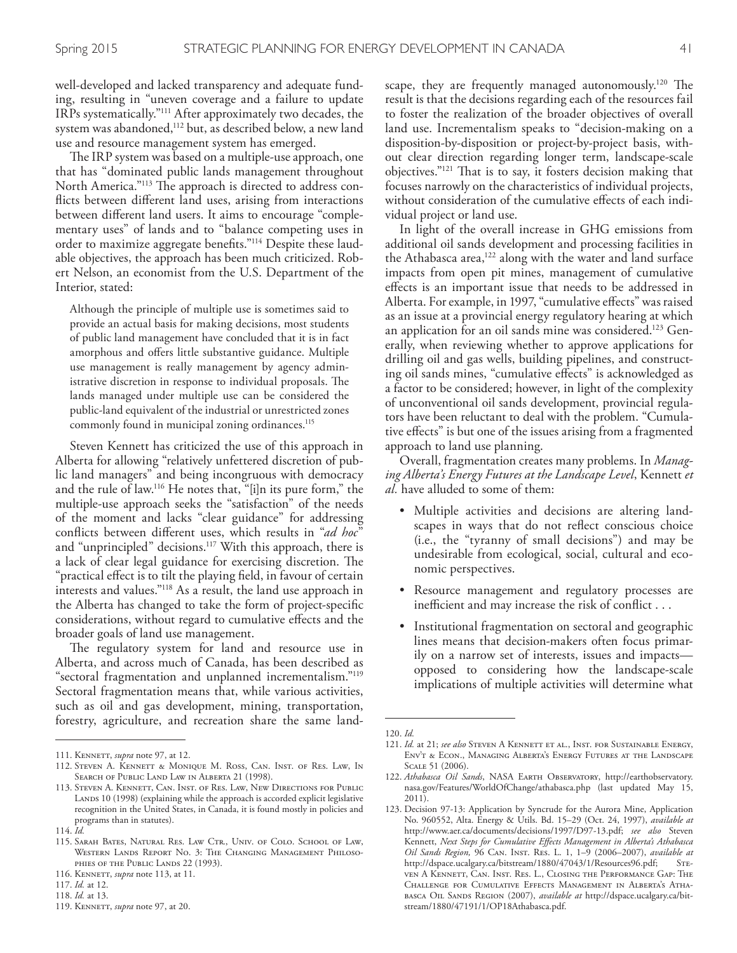well-developed and lacked transparency and adequate funding, resulting in "uneven coverage and a failure to update IRPs systematically."111 After approximately two decades, the system was abandoned,<sup>112</sup> but, as described below, a new land use and resource management system has emerged.

The IRP system was based on a multiple-use approach, one that has "dominated public lands management throughout North America."<sup>113</sup> The approach is directed to address conficts between diferent land uses, arising from interactions between diferent land users. It aims to encourage "complementary uses" of lands and to "balance competing uses in order to maximize aggregate benefts."114 Despite these laudable objectives, the approach has been much criticized. Robert Nelson, an economist from the U.S. Department of the Interior, stated:

Although the principle of multiple use is sometimes said to provide an actual basis for making decisions, most students of public land management have concluded that it is in fact amorphous and ofers little substantive guidance. Multiple use management is really management by agency administrative discretion in response to individual proposals. The lands managed under multiple use can be considered the public-land equivalent of the industrial or unrestricted zones commonly found in municipal zoning ordinances. 115

Steven Kennett has criticized the use of this approach in Alberta for allowing "relatively unfettered discretion of public land managers" and being incongruous with democracy and the rule of law. 116 He notes that, "[i]n its pure form," the multiple-use approach seeks the "satisfaction" of the needs of the moment and lacks "clear guidance" for addressing conficts between diferent uses, which results in "*ad hoc*" and "unprincipled" decisions. 117 With this approach, there is a lack of clear legal guidance for exercising discretion. The "practical efect is to tilt the playing feld, in favour of certain interests and values."118 As a result, the land use approach in the Alberta has changed to take the form of project-specifc considerations, without regard to cumulative efects and the broader goals of land use management.

The regulatory system for land and resource use in Alberta, and across much of Canada, has been described as "sectoral fragmentation and unplanned incrementalism."119 Sectoral fragmentation means that, while various activities, such as oil and gas development, mining, transportation, forestry, agriculture, and recreation share the same land-

scape, they are frequently managed autonomously.<sup>120</sup> The result is that the decisions regarding each of the resources fail to foster the realization of the broader objectives of overall land use. Incrementalism speaks to "decision-making on a disposition-by-disposition or project-by-project basis, without clear direction regarding longer term, landscape-scale objectives."<sup>121</sup> That is to say, it fosters decision making that focuses narrowly on the characteristics of individual projects, without consideration of the cumulative efects of each individual project or land use.

In light of the overall increase in GHG emissions from additional oil sands development and processing facilities in the Athabasca area,<sup>122</sup> along with the water and land surface impacts from open pit mines, management of cumulative efects is an important issue that needs to be addressed in Alberta. For example, in 1997, "cumulative efects" was raised as an issue at a provincial energy regulatory hearing at which an application for an oil sands mine was considered. 123 Generally, when reviewing whether to approve applications for drilling oil and gas wells, building pipelines, and constructing oil sands mines, "cumulative efects" is acknowledged as a factor to be considered; however, in light of the complexity of unconventional oil sands development, provincial regulators have been reluctant to deal with the problem. "Cumulative efects" is but one of the issues arising from a fragmented approach to land use planning.

Overall, fragmentation creates many problems. In *Managing Alberta's Energy Futures at the Landscape Level*, Kennett *et al.* have alluded to some of them:

- Multiple activities and decisions are altering landscapes in ways that do not refect conscious choice (i.e., the "tyranny of small decisions") and may be undesirable from ecological, social, cultural and economic perspectives.
- Resource management and regulatory processes are inefficient and may increase the risk of conflict  $\dots$
- Institutional fragmentation on sectoral and geographic lines means that decision-makers often focus primarily on a narrow set of interests, issues and impacts opposed to considering how the landscape-scale implications of multiple activities will determine what

<sup>111.</sup> Kennett, *supra* note 97, at 12.

<sup>112.</sup> Steven A. Kennett & Monique M. Ross, Can. Inst. of Res. Law, In Search of Public Land Law in Alberta 21 (1998).

<sup>113.</sup> Steven A. Kennett, Can. Inst. of Res. Law, New Directions for Public LANDS 10 (1998) (explaining while the approach is accorded explicit legislative recognition in the United States, in Canada, it is found mostly in policies and programs than in statutes).

<sup>114.</sup> *Id.*

<sup>115.</sup> SARAH BATES, NATURAL RES. LAW CTR., UNIV. OF COLO. SCHOOL OF LAW, Western Lands Report No. 3: The Changing Management Philoso-PHIES OF THE PUBLIC LANDS 22 (1993).

<sup>116.</sup> Kennett, *supra* note 113, at 11.

<sup>117.</sup> *Id.* at 12. 118. *Id.* at 13.

<sup>119.</sup> Kennett, *supra* note 97, at 20.

<sup>120.</sup> *Id.*

<sup>121.</sup> *Id.* at 21; *see also* Steven A Kennett et al., Inst. for Sustainable Energy, Env't & Econ., Managing Alberta's Energy Futures at the Landscape Scale 51 (2006).

<sup>122.</sup> *Athabasca Oil Sands*, NASA Earth Observatory, http://earthobservatory. nasa.gov/Features/WorldOfChange/athabasca.php (last updated May 15, 2011).

<sup>123.</sup> Decision 97-13: Application by Syncrude for the Aurora Mine, Application No. 960552, Alta. Energy & Utils. Bd. 15–29 (Oct. 24, 1997), *available at*  http://www.aer.ca/documents/decisions/1997/D97-13.pdf; *see also* Steven Kennett, *Next Steps for Cumulative Efects Management in Alberta's Athabasca Oil Sands Region,* 96 Can. Inst. Res. L. 1, 1–9 (2006–2007), *available at*  http://dspace.ucalgary.ca/bitstream/1880/47043/1/Resources96.pdf; STEven A Kennett, Can. Inst. Res. L., Closing the Performance Gap: The Challenge for Cumulative Effects Management in Alberta's Athabasca Oil Sands Region (2007), *available at* http://dspace.ucalgary.ca/bitstream/1880/47191/1/OP18Athabasca.pdf.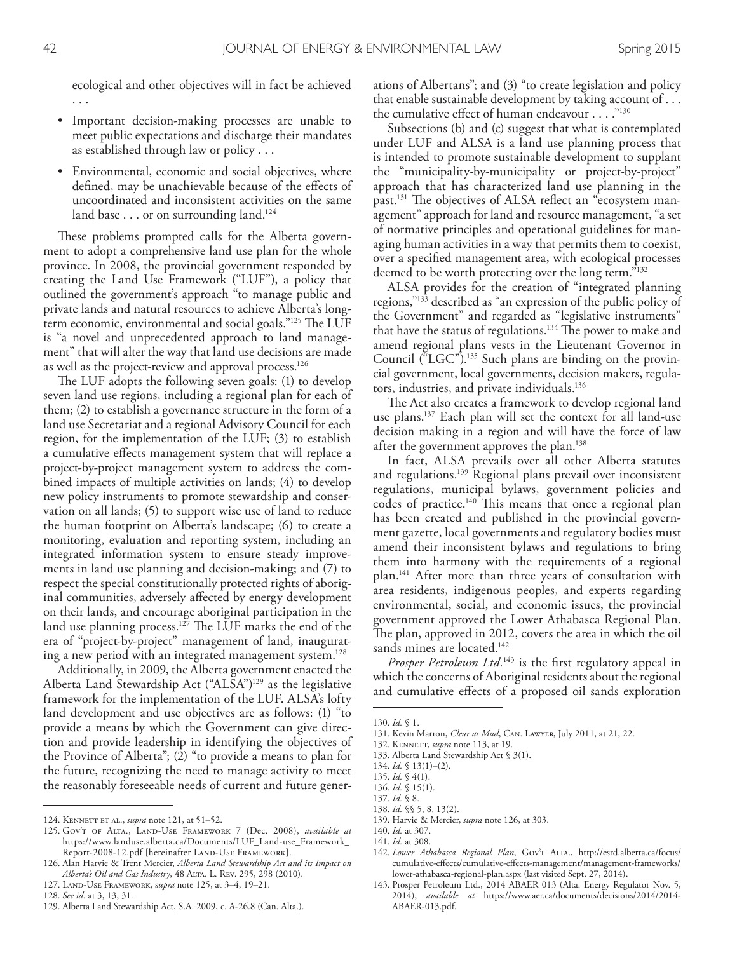ecological and other objectives will in fact be achieved . . .

- Important decision-making processes are unable to meet public expectations and discharge their mandates as established through law or policy . . .
- Environmental, economic and social objectives, where defned, may be unachievable because of the efects of uncoordinated and inconsistent activities on the same land base . . . or on surrounding land. 124

These problems prompted calls for the Alberta government to adopt a comprehensive land use plan for the whole province. In 2008, the provincial government responded by creating the Land Use Framework ("LUF"), a policy that outlined the government's approach "to manage public and private lands and natural resources to achieve Alberta's longterm economic, environmental and social goals."<sup>125</sup> The LUF is "a novel and unprecedented approach to land management" that will alter the way that land use decisions are made as well as the project-review and approval process. 126

The LUF adopts the following seven goals: (1) to develop seven land use regions, including a regional plan for each of them; (2) to establish a governance structure in the form of a land use Secretariat and a regional Advisory Council for each region, for the implementation of the LUF; (3) to establish a cumulative efects management system that will replace a project-by-project management system to address the combined impacts of multiple activities on lands; (4) to develop new policy instruments to promote stewardship and conservation on all lands; (5) to support wise use of land to reduce the human footprint on Alberta's landscape; (6) to create a monitoring, evaluation and reporting system, including an integrated information system to ensure steady improvements in land use planning and decision-making; and (7) to respect the special constitutionally protected rights of aboriginal communities, adversely afected by energy development on their lands, and encourage aboriginal participation in the land use planning process.<sup>127</sup> The LUF marks the end of the era of "project-by-project" management of land, inaugurating a new period with an integrated management system. 128

Additionally, in 2009, the Alberta government enacted the Alberta Land Stewardship Act ("ALSA")<sup>129</sup> as the legislative framework for the implementation of the LUF. ALSA's lofty land development and use objectives are as follows: (1) "to provide a means by which the Government can give direction and provide leadership in identifying the objectives of the Province of Alberta"; (2) "to provide a means to plan for the future, recognizing the need to manage activity to meet the reasonably foreseeable needs of current and future generations of Albertans"; and (3) "to create legislation and policy that enable sustainable development by taking account of . . . the cumulative effect of human endeavour . . . . "<sup>130</sup>

Subsections (b) and (c) suggest that what is contemplated under LUF and ALSA is a land use planning process that is intended to promote sustainable development to supplant the "municipality-by-municipality or project-by-project" approach that has characterized land use planning in the past.<sup>131</sup> The objectives of ALSA reflect an "ecosystem management" approach for land and resource management, "a set of normative principles and operational guidelines for managing human activities in a way that permits them to coexist, over a specifed management area, with ecological processes deemed to be worth protecting over the long term."132

ALSA provides for the creation of "integrated planning regions,"133 described as "an expression of the public policy of the Government" and regarded as "legislative instruments" that have the status of regulations.<sup>134</sup> The power to make and amend regional plans vests in the Lieutenant Governor in Council ("LGC"). 135 Such plans are binding on the provincial government, local governments, decision makers, regulators, industries, and private individuals. 136

The Act also creates a framework to develop regional land use plans. 137 Each plan will set the context for all land-use decision making in a region and will have the force of law after the government approves the plan. 138

In fact, ALSA prevails over all other Alberta statutes and regulations. 139 Regional plans prevail over inconsistent regulations, municipal bylaws, government policies and codes of practice.<sup>140</sup> This means that once a regional plan has been created and published in the provincial government gazette, local governments and regulatory bodies must amend their inconsistent bylaws and regulations to bring them into harmony with the requirements of a regional plan. 141 After more than three years of consultation with area residents, indigenous peoples, and experts regarding environmental, social, and economic issues, the provincial government approved the Lower Athabasca Regional Plan. The plan, approved in 2012, covers the area in which the oil sands mines are located. 142

*Prosper Petroleum Ltd.*<sup>143</sup> is the first regulatory appeal in which the concerns of Aboriginal residents about the regional and cumulative efects of a proposed oil sands exploration

- 139. Harvie & Mercier, *supra* note 126, at 303.
- 140. *Id.* at 307.

143. Prosper Petroleum Ltd., 2014 ABAER 013 (Alta. Energy Regulator Nov. 5, 2014), *available at* https://www.aer.ca/documents/decisions/2014/2014- ABAER-013.pdf.

<sup>124.</sup> Kennett et al., *supra* note 121, at 51–52.

<sup>125.</sup> Gov't of Alta., Land-Use Framework 7 (Dec. 2008), *available at* https://www.landuse.alberta.ca/Documents/LUF\_Land-use\_Framework\_ Report-2008-12.pdf [hereinafter LAND-USE FRAMEWORK].

<sup>126.</sup> Alan Harvie & Trent Mercier, *Alberta Land Stewardship Act and its Impact on Alberta's Oil and Gas Industry*, 48 Alta. L. Rev. 295, 298 (2010).

<sup>127.</sup> Land-Use Framework, s*upra* note 125, at 3–4, 19–21.

<sup>128.</sup> *See id.* at 3, 13, 31*.*

<sup>129.</sup> Alberta Land Stewardship Act, S.A. 2009, c. A-26.8 (Can. Alta.).

<sup>130.</sup> *Id.* § 1.

<sup>131.</sup> Kevin Marron, *Clear as Mud*, Can. Lawyer, July 2011, at 21, 22.

<sup>132.</sup> Kennett, *supra* note 113, at 19.

<sup>133.</sup> Alberta Land Stewardship Act § 3(1).

<sup>134.</sup> *Id.* § 13(1)–(2).

<sup>135.</sup> *Id.* § 4(1). 136. *Id.* § 15(1).

<sup>137.</sup> *Id.* § 8.

<sup>138.</sup> *Id.* §§ 5, 8, 13(2).

<sup>141.</sup> *Id.* at 308.

<sup>142.</sup> *Lower Athabasca Regional Plan*, Gov't Alta., http://esrd.alberta.ca/focus/ cumulative-efects/cumulative-efects-management/management-frameworks/ lower-athabasca-regional-plan.aspx (last visited Sept. 27, 2014).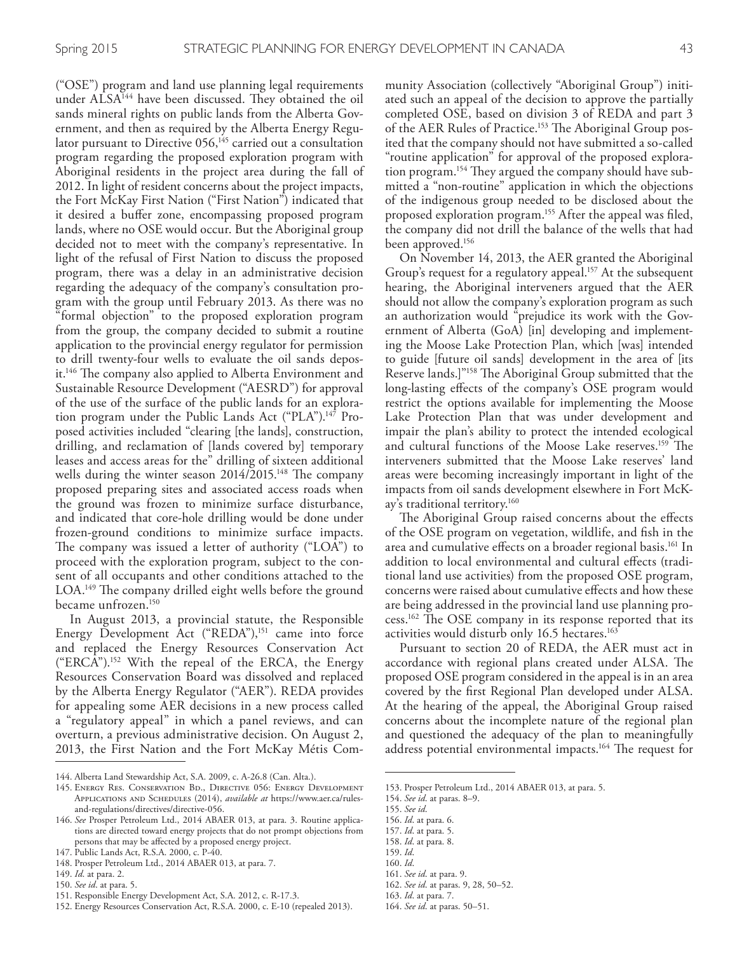("OSE") program and land use planning legal requirements under ALSA<sup>144</sup> have been discussed. They obtained the oil sands mineral rights on public lands from the Alberta Government, and then as required by the Alberta Energy Regulator pursuant to Directive 056,<sup>145</sup> carried out a consultation program regarding the proposed exploration program with Aboriginal residents in the project area during the fall of 2012. In light of resident concerns about the project impacts, the Fort McKay First Nation ("First Nation") indicated that it desired a bufer zone, encompassing proposed program lands, where no OSE would occur. But the Aboriginal group decided not to meet with the company's representative. In light of the refusal of First Nation to discuss the proposed program, there was a delay in an administrative decision regarding the adequacy of the company's consultation program with the group until February 2013. As there was no "formal objection" to the proposed exploration program from the group, the company decided to submit a routine application to the provincial energy regulator for permission to drill twenty-four wells to evaluate the oil sands deposit.<sup>146</sup> The company also applied to Alberta Environment and Sustainable Resource Development ("AESRD") for approval of the use of the surface of the public lands for an exploration program under the Public Lands Act ("PLA").<sup>147</sup> Proposed activities included "clearing [the lands], construction, drilling, and reclamation of [lands covered by] temporary leases and access areas for the" drilling of sixteen additional wells during the winter season 2014/2015.<sup>148</sup> The company proposed preparing sites and associated access roads when the ground was frozen to minimize surface disturbance, and indicated that core-hole drilling would be done under frozen-ground conditions to minimize surface impacts. The company was issued a letter of authority  $("LOA")$  to proceed with the exploration program, subject to the consent of all occupants and other conditions attached to the LOA.<sup>149</sup> The company drilled eight wells before the ground became unfrozen. 150

In August 2013, a provincial statute, the Responsible Energy Development Act ("REDA"),<sup>151</sup> came into force and replaced the Energy Resources Conservation Act ("ERCA"). 152 With the repeal of the ERCA, the Energy Resources Conservation Board was dissolved and replaced by the Alberta Energy Regulator ("AER"). REDA provides for appealing some AER decisions in a new process called a "regulatory appeal" in which a panel reviews, and can overturn, a previous administrative decision. On August 2, 2013, the First Nation and the Fort McKay Métis Com-

- 150. *See id*. at para. 5.
- 151. Responsible Energy Development Act, S.A. 2012, c. R-17.3.
- 152. Energy Resources Conservation Act, R.S.A. 2000, c. E-10 (repealed 2013).

munity Association (collectively "Aboriginal Group") initiated such an appeal of the decision to approve the partially completed OSE, based on division 3 of REDA and part 3 of the AER Rules of Practice.<sup>153</sup> The Aboriginal Group posited that the company should not have submitted a so-called "routine application" for approval of the proposed exploration program.<sup>154</sup> They argued the company should have submitted a "non-routine" application in which the objections of the indigenous group needed to be disclosed about the proposed exploration program. 155 After the appeal was fled, the company did not drill the balance of the wells that had been approved. 156

On November 14, 2013, the AER granted the Aboriginal Group's request for a regulatory appeal. 157 At the subsequent hearing, the Aboriginal interveners argued that the AER should not allow the company's exploration program as such an authorization would "prejudice its work with the Government of Alberta (GoA) [in] developing and implementing the Moose Lake Protection Plan, which [was] intended to guide [future oil sands] development in the area of [its Reserve lands.]"<sup>158</sup> The Aboriginal Group submitted that the long-lasting effects of the company's OSE program would restrict the options available for implementing the Moose Lake Protection Plan that was under development and impair the plan's ability to protect the intended ecological and cultural functions of the Moose Lake reserves.<sup>159</sup> The interveners submitted that the Moose Lake reserves' land areas were becoming increasingly important in light of the impacts from oil sands development elsewhere in Fort McKay's traditional territory. 160

The Aboriginal Group raised concerns about the effects of the OSE program on vegetation, wildlife, and fsh in the area and cumulative effects on a broader regional basis.<sup>161</sup> In addition to local environmental and cultural efects (traditional land use activities) from the proposed OSE program, concerns were raised about cumulative efects and how these are being addressed in the provincial land use planning process.<sup>162</sup> The OSE company in its response reported that its activities would disturb only 16.5 hectares. 163

Pursuant to section 20 of REDA, the AER must act in accordance with regional plans created under ALSA. The proposed OSE program considered in the appeal is in an area covered by the frst Regional Plan developed under ALSA. At the hearing of the appeal, the Aboriginal Group raised concerns about the incomplete nature of the regional plan and questioned the adequacy of the plan to meaningfully address potential environmental impacts.<sup>164</sup> The request for

155. *See id*.

160. *Id*.

- 163. *Id*. at para. 7.
- 164. *See id*. at paras. 50–51.

<sup>144.</sup> Alberta Land Stewardship Act, S.A. 2009, c. A-26.8 (Can. Alta.).

<sup>145.</sup> Energy Res. Conservation Bd., Directive 056: Energy Development Applications and Schedules (2014), *available at* https://www.aer.ca/rulesand-regulations/directives/directive-056.

<sup>146.</sup> *See* Prosper Petroleum Ltd., 2014 ABAER 013, at para. 3. Routine applications are directed toward energy projects that do not prompt objections from persons that may be afected by a proposed energy project.

<sup>147.</sup> Public Lands Act, R.S.A. 2000, c. P-40.

<sup>148.</sup> Prosper Petroleum Ltd., 2014 ABAER 013, at para. 7.

<sup>149.</sup> *Id*. at para. 2.

<sup>153.</sup> Prosper Petroleum Ltd., 2014 ABAER 013, at para. 5.

<sup>154.</sup> *See id*. at paras. 8–9.

<sup>156.</sup> *Id*. at para. 6.

<sup>157.</sup> *Id*. at para. 5.

<sup>158.</sup> *Id*. at para. 8.

<sup>159.</sup> *Id*.

<sup>161.</sup> *See id*. at para. 9.

<sup>162.</sup> *See id*. at paras. 9, 28, 50–52.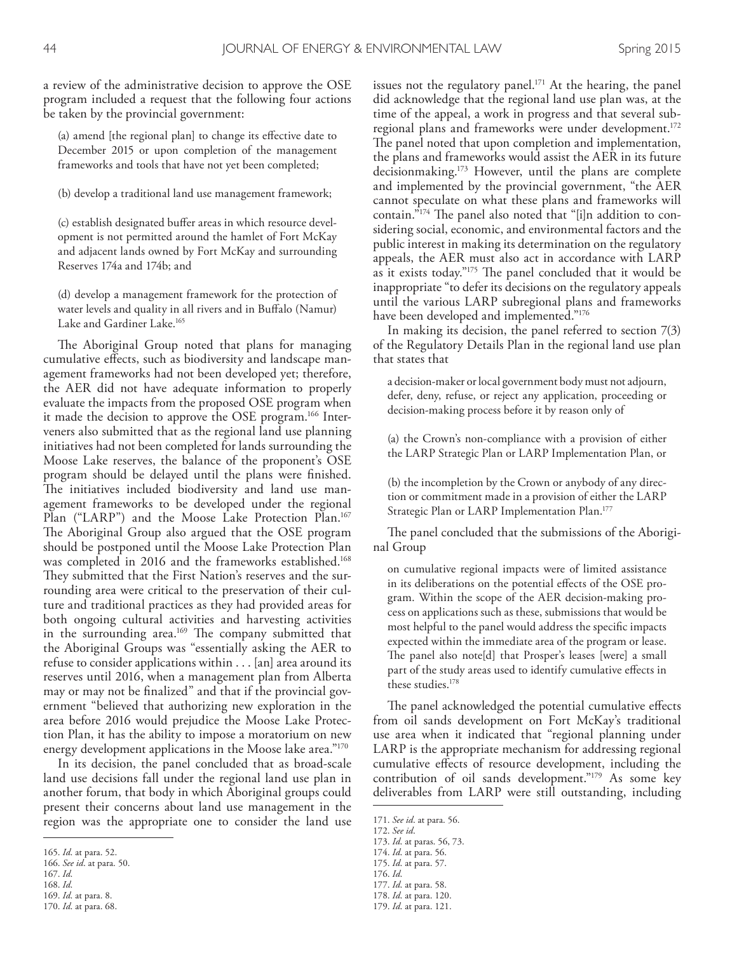a review of the administrative decision to approve the OSE program included a request that the following four actions be taken by the provincial government:

(a) amend [the regional plan] to change its efective date to December 2015 or upon completion of the management frameworks and tools that have not yet been completed;

(b) develop a traditional land use management framework;

(c) establish designated bufer areas in which resource development is not permitted around the hamlet of Fort McKay and adjacent lands owned by Fort McKay and surrounding Reserves 174a and 174b; and

(d) develop a management framework for the protection of water levels and quality in all rivers and in Bufalo (Namur) Lake and Gardiner Lake. 165

The Aboriginal Group noted that plans for managing cumulative efects, such as biodiversity and landscape management frameworks had not been developed yet; therefore, the AER did not have adequate information to properly evaluate the impacts from the proposed OSE program when it made the decision to approve the OSE program. 166 Interveners also submitted that as the regional land use planning initiatives had not been completed for lands surrounding the Moose Lake reserves, the balance of the proponent's OSE program should be delayed until the plans were fnished. The initiatives included biodiversity and land use management frameworks to be developed under the regional Plan ("LARP") and the Moose Lake Protection Plan. 167 The Aboriginal Group also argued that the OSE program should be postponed until the Moose Lake Protection Plan was completed in 2016 and the frameworks established. 168 They submitted that the First Nation's reserves and the surrounding area were critical to the preservation of their culture and traditional practices as they had provided areas for both ongoing cultural activities and harvesting activities in the surrounding area.<sup>169</sup> The company submitted that the Aboriginal Groups was "essentially asking the AER to refuse to consider applications within . . . [an] area around its reserves until 2016, when a management plan from Alberta may or may not be fnalized" and that if the provincial government "believed that authorizing new exploration in the area before 2016 would prejudice the Moose Lake Protection Plan, it has the ability to impose a moratorium on new energy development applications in the Moose lake area."<sup>170</sup>

In its decision, the panel concluded that as broad-scale land use decisions fall under the regional land use plan in another forum, that body in which Aboriginal groups could present their concerns about land use management in the region was the appropriate one to consider the land use

issues not the regulatory panel. 171 At the hearing, the panel did acknowledge that the regional land use plan was, at the time of the appeal, a work in progress and that several subregional plans and frameworks were under development. 172 The panel noted that upon completion and implementation, the plans and frameworks would assist the AER in its future decisionmaking. 173 However, until the plans are complete and implemented by the provincial government, "the AER cannot speculate on what these plans and frameworks will contain."<sup>174</sup> The panel also noted that "[i]n addition to considering social, economic, and environmental factors and the public interest in making its determination on the regulatory appeals, the AER must also act in accordance with LARP as it exists today."<sup>175</sup> The panel concluded that it would be inappropriate "to defer its decisions on the regulatory appeals until the various LARP subregional plans and frameworks have been developed and implemented."<sup>176</sup>

In making its decision, the panel referred to section 7(3) of the Regulatory Details Plan in the regional land use plan that states that

a decision-maker or local government body must not adjourn, defer, deny, refuse, or reject any application, proceeding or decision-making process before it by reason only of

(a) the Crown's non-compliance with a provision of either the LARP Strategic Plan or LARP Implementation Plan, or

(b) the incompletion by the Crown or anybody of any direction or commitment made in a provision of either the LARP Strategic Plan or LARP Implementation Plan. 177

The panel concluded that the submissions of the Aboriginal Group

on cumulative regional impacts were of limited assistance in its deliberations on the potential efects of the OSE program. Within the scope of the AER decision-making process on applications such as these, submissions that would be most helpful to the panel would address the specifc impacts expected within the immediate area of the program or lease. The panel also note[d] that Prosper's leases [were] a small part of the study areas used to identify cumulative efects in these studies. 178

The panel acknowledged the potential cumulative effects from oil sands development on Fort McKay's traditional use area when it indicated that "regional planning under LARP is the appropriate mechanism for addressing regional cumulative efects of resource development, including the contribution of oil sands development."179 As some key deliverables from LARP were still outstanding, including

175. *Id*. at para. 57. 176. *Id*.

<sup>165.</sup> *Id*. at para. 52.

<sup>166.</sup> *See id*. at para. 50.

<sup>167.</sup> *Id*.

<sup>168.</sup> *Id*. 169. *Id*. at para. 8.

<sup>170.</sup> *Id*. at para. 68.

<sup>171.</sup> *See id*. at para. 56.

<sup>172.</sup> *See id*.

<sup>173.</sup> *Id*. at paras. 56, 73.

<sup>174.</sup> *Id*. at para. 56.

<sup>177.</sup> *Id*. at para. 58.

<sup>178.</sup> *Id*. at para. 120.

<sup>179.</sup> *Id*. at para. 121.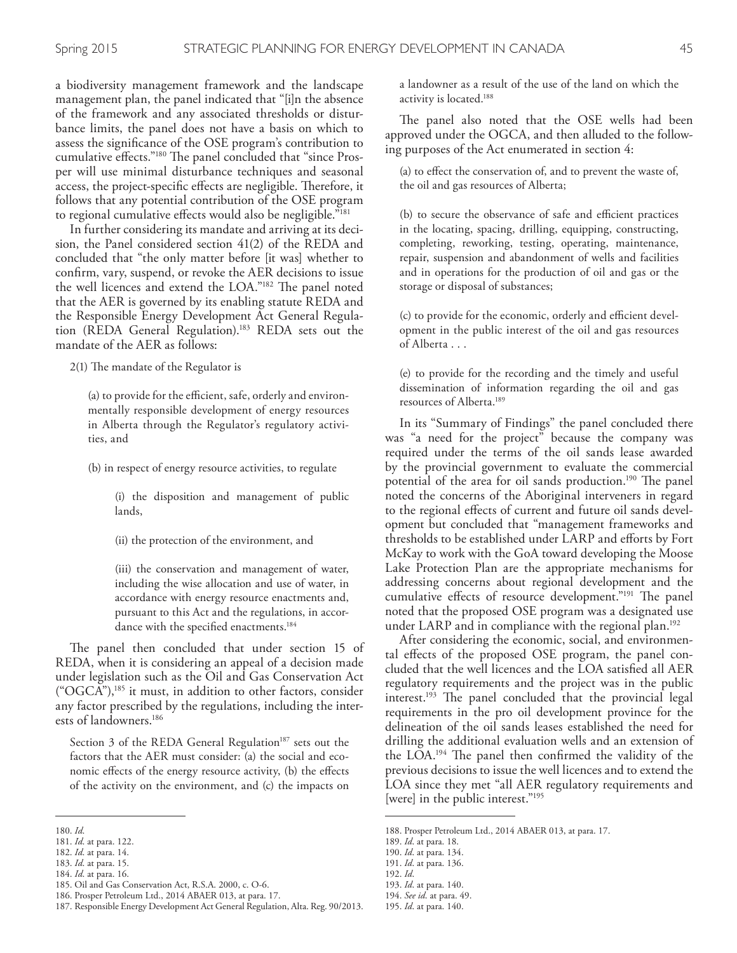a biodiversity management framework and the landscape management plan, the panel indicated that "[i]n the absence of the framework and any associated thresholds or disturbance limits, the panel does not have a basis on which to assess the signifcance of the OSE program's contribution to cumulative effects."<sup>180</sup> The panel concluded that "since Prosper will use minimal disturbance techniques and seasonal access, the project-specific effects are negligible. Therefore, it follows that any potential contribution of the OSE program to regional cumulative efects would also be negligible."181

In further considering its mandate and arriving at its decision, the Panel considered section 41(2) of the REDA and concluded that "the only matter before [it was] whether to confrm, vary, suspend, or revoke the AER decisions to issue the well licences and extend the LOA."<sup>182</sup> The panel noted that the AER is governed by its enabling statute REDA and the Responsible Energy Development Act General Regulation (REDA General Regulation). 183 REDA sets out the mandate of the AER as follows:

 $2(1)$  The mandate of the Regulator is

(a) to provide for the efficient, safe, orderly and environmentally responsible development of energy resources in Alberta through the Regulator's regulatory activities, and

(b) in respect of energy resource activities, to regulate

(i) the disposition and management of public lands,

(ii) the protection of the environment, and

(iii) the conservation and management of water, including the wise allocation and use of water, in accordance with energy resource enactments and, pursuant to this Act and the regulations, in accordance with the specifed enactments. 184

The panel then concluded that under section 15 of REDA, when it is considering an appeal of a decision made under legislation such as the Oil and Gas Conservation Act ("OGCA"),185 it must, in addition to other factors, consider any factor prescribed by the regulations, including the interests of landowners. 186

Section 3 of the REDA General Regulation<sup>187</sup> sets out the factors that the AER must consider: (a) the social and economic effects of the energy resource activity, (b) the effects of the activity on the environment, and (c) the impacts on

185. Oil and Gas Conservation Act, R.S.A. 2000, c. O-6. 186. Prosper Petroleum Ltd., 2014 ABAER 013, at para. 17. a landowner as a result of the use of the land on which the activity is located. 188

The panel also noted that the OSE wells had been approved under the OGCA, and then alluded to the following purposes of the Act enumerated in section 4:

(a) to efect the conservation of, and to prevent the waste of, the oil and gas resources of Alberta;

(b) to secure the observance of safe and efficient practices in the locating, spacing, drilling, equipping, constructing, completing, reworking, testing, operating, maintenance, repair, suspension and abandonment of wells and facilities and in operations for the production of oil and gas or the storage or disposal of substances;

(c) to provide for the economic, orderly and efficient development in the public interest of the oil and gas resources of Alberta . . .

(e) to provide for the recording and the timely and useful dissemination of information regarding the oil and gas resources of Alberta. 189

In its "Summary of Findings" the panel concluded there was "a need for the project" because the company was required under the terms of the oil sands lease awarded by the provincial government to evaluate the commercial potential of the area for oil sands production.<sup>190</sup> The panel noted the concerns of the Aboriginal interveners in regard to the regional efects of current and future oil sands development but concluded that "management frameworks and thresholds to be established under LARP and eforts by Fort McKay to work with the GoA toward developing the Moose Lake Protection Plan are the appropriate mechanisms for addressing concerns about regional development and the cumulative effects of resource development."<sup>191</sup> The panel noted that the proposed OSE program was a designated use under LARP and in compliance with the regional plan. 192

After considering the economic, social, and environmental efects of the proposed OSE program, the panel concluded that the well licences and the LOA satisfed all AER regulatory requirements and the project was in the public interest.<sup>193</sup> The panel concluded that the provincial legal requirements in the pro oil development province for the delineation of the oil sands leases established the need for drilling the additional evaluation wells and an extension of the LOA.<sup>194</sup> The panel then confirmed the validity of the previous decisions to issue the well licences and to extend the LOA since they met "all AER regulatory requirements and [were] in the public interest."<sup>195</sup>

<sup>180.</sup> *Id*.

<sup>181.</sup> *Id*. at para. 122.

<sup>182.</sup> *Id*. at para. 14.

<sup>183.</sup> *Id*. at para. 15.

<sup>184.</sup> *Id*. at para. 16.

<sup>187.</sup> Responsible Energy Development Act General Regulation, Alta. Reg. 90/2013.

<sup>188.</sup> Prosper Petroleum Ltd., 2014 ABAER 013, at para. 17.

<sup>189.</sup> *Id*. at para. 18.

<sup>190.</sup> *Id*. at para. 134.

<sup>191.</sup> *Id*. at para. 136. 192. *Id*.

<sup>193.</sup> *Id*. at para. 140. 194. *See id*. at para. 49.

<sup>195.</sup> *Id*. at para. 140.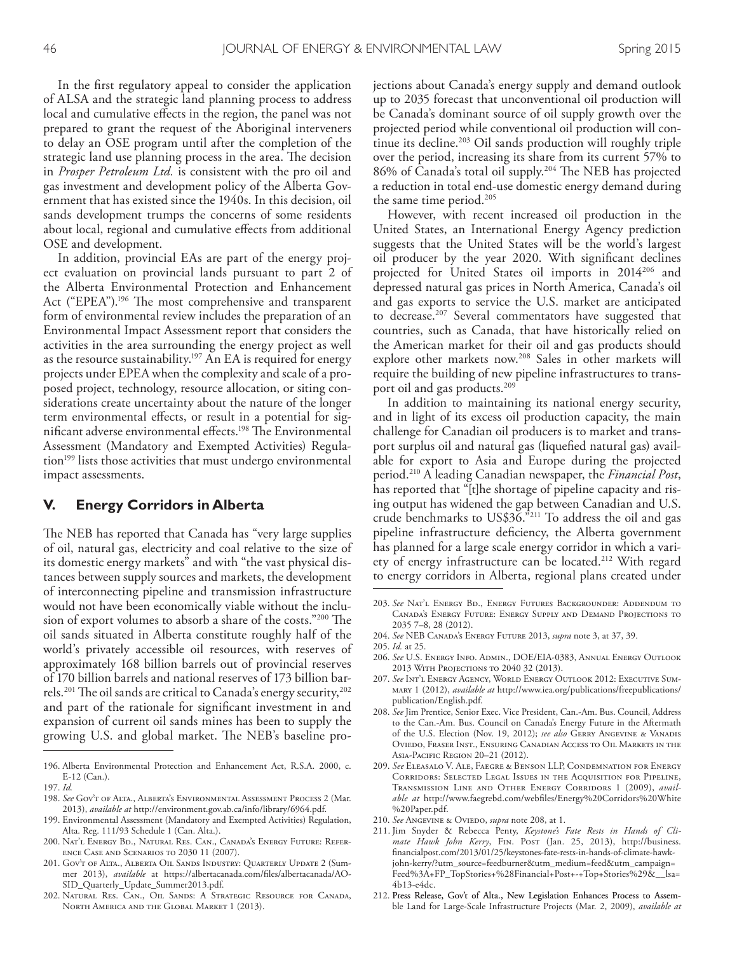In the frst regulatory appeal to consider the application of ALSA and the strategic land planning process to address local and cumulative effects in the region, the panel was not prepared to grant the request of the Aboriginal interveners to delay an OSE program until after the completion of the strategic land use planning process in the area. The decision in *Prosper Petroleum Ltd.* is consistent with the pro oil and gas investment and development policy of the Alberta Government that has existed since the 1940s. In this decision, oil sands development trumps the concerns of some residents about local, regional and cumulative efects from additional OSE and development.

In addition, provincial EAs are part of the energy project evaluation on provincial lands pursuant to part 2 of the Alberta Environmental Protection and Enhancement Act ("EPEA").<sup>196</sup> The most comprehensive and transparent form of environmental review includes the preparation of an Environmental Impact Assessment report that considers the activities in the area surrounding the energy project as well as the resource sustainability. 197 An EA is required for energy projects under EPEA when the complexity and scale of a proposed project, technology, resource allocation, or siting considerations create uncertainty about the nature of the longer term environmental efects, or result in a potential for significant adverse environmental effects.<sup>198</sup> The Environmental Assessment (Mandatory and Exempted Activities) Regulation<sup>199</sup> lists those activities that must undergo environmental impact assessments.

#### **V. Energy Corridors in Alberta**

The NEB has reported that Canada has "very large supplies" of oil, natural gas, electricity and coal relative to the size of its domestic energy markets" and with "the vast physical distances between supply sources and markets, the development of interconnecting pipeline and transmission infrastructure would not have been economically viable without the inclusion of export volumes to absorb a share of the costs."200 The oil sands situated in Alberta constitute roughly half of the world's privately accessible oil resources, with reserves of approximately 168 billion barrels out of provincial reserves of 170 billion barrels and national reserves of 173 billion barrels.<sup>201</sup> The oil sands are critical to Canada's energy security,<sup>202</sup> and part of the rationale for signifcant investment in and expansion of current oil sands mines has been to supply the growing U.S. and global market. The NEB's baseline pro-

- 199. Environmental Assessment (Mandatory and Exempted Activities) Regulation, Alta. Reg. 111/93 Schedule 1 (Can. Alta.).
- 200. Nat'l Energy Bd., Natural Res. Can., Canada's Energy Future: Reference Case and Scenarios to 2030 11 (2007).
- 201. Gov't of Alta., Alberta Oil Sands Industry: Quarterly Update 2 (Summer 2013), *available* at https://albertacanada.com/fles/albertacanada/AO-SID\_Quarterly\_Update\_Summer2013.pdf.
- 202. Natural Res. Can., Oil Sands: A Strategic Resource for Canada, North America and the Global Market 1 (2013).

jections about Canada's energy supply and demand outlook up to 2035 forecast that unconventional oil production will be Canada's dominant source of oil supply growth over the projected period while conventional oil production will continue its decline. 203 Oil sands production will roughly triple over the period, increasing its share from its current 57% to 86% of Canada's total oil supply.<sup>204</sup> The NEB has projected a reduction in total end-use domestic energy demand during the same time period. 205

However, with recent increased oil production in the United States, an International Energy Agency prediction suggests that the United States will be the world's largest oil producer by the year 2020. With signifcant declines projected for United States oil imports in 2014206 and depressed natural gas prices in North America, Canada's oil and gas exports to service the U.S. market are anticipated to decrease. 207 Several commentators have suggested that countries, such as Canada, that have historically relied on the American market for their oil and gas products should explore other markets now. 208 Sales in other markets will require the building of new pipeline infrastructures to transport oil and gas products. 209

In addition to maintaining its national energy security, and in light of its excess oil production capacity, the main challenge for Canadian oil producers is to market and transport surplus oil and natural gas (liquefed natural gas) available for export to Asia and Europe during the projected period. 210 A leading Canadian newspaper, the *Financial Post*, has reported that "[t]he shortage of pipeline capacity and rising output has widened the gap between Canadian and U.S. crude benchmarks to US\$36."211 To address the oil and gas pipeline infrastructure defciency, the Alberta government has planned for a large scale energy corridor in which a variety of energy infrastructure can be located. 212 With regard to energy corridors in Alberta, regional plans created under

- 206. *See* U.S. Energy Info. Admin., DOE/EIA-0383, Annual Energy Outlook 2013 With Projections to 2040 32 (2013).
- 207. *See* Int'l Energy Agency, World Energy Outlook 2012: Executive Summary 1 (2012), *available at* http://www.iea.org/publications/freepublications/ publication/English.pdf.
- 208. *See* Jim Prentice, Senior Exec. Vice President, Can.-Am. Bus. Council, Address to the Can.-Am. Bus. Council on Canada's Energy Future in the Aftermath of the U.S. Election (Nov. 19, 2012); *see also* Gerry Angevine & Vanadis Oviedo, Fraser Inst., Ensuring Canadian Access to Oil Markets in the Asia-Pacific Region 20-21 (2012).
- 209. *See* Eleasalo V. Ale, Faegre & Benson LLP, Condemnation for Energy Corridors: Selected Legal Issues in the Acquisition for Pipeline, Transmission Line and Other Energy Corridors 1 (2009), *available at* http://www.faegrebd.com/webfles/Energy%20Corridors%20White %20Paper.pdf.
- 210. *See* Angevine & Oviedo, *supra* note 208, at 1.
- 211. Jim Snyder & Rebecca Penty, *Keystone's Fate Rests in Hands of Climate Hawk John Kerry*, Fin. Post (Jan. 25, 2013), http://business. fnancialpost.com/2013/01/25/keystones-fate-rests-in-hands-of-climate-hawkjohn-kerry/?utm\_source=feedburner&utm\_medium=feed&utm\_campaign= Feed%3A+FP\_TopStories+%28Financial+Post+-+Top+Stories%29&\_\_lsa= 4b13-e4dc.
- 212. Press Release, Gov't of Alta., New Legislation Enhances Process to Assemble Land for Large-Scale Infrastructure Projects (Mar. 2, 2009), *available at*

<sup>196.</sup> Alberta Environmental Protection and Enhancement Act, R.S.A. 2000, c. E-12 (Can.).

<sup>197.</sup> *Id.*

<sup>198.</sup> *See* Gov't of Alta., Alberta's Environmental Assessment Process 2 (Mar. 2013), *available at* http://environment.gov.ab.ca/info/library/6964.pdf.

<sup>203.</sup> *See* Nat'l Energy Bd., Energy Futures Backgrounder: Addendum to Canada's Energy Future: Energy Supply and Demand Projections to 2035 7–8, 28 (2012).

<sup>204.</sup> *See* NEB Canada's Energy Future 2013, *supra* note 3, at 37, 39.

<sup>205.</sup> *Id.* at 25.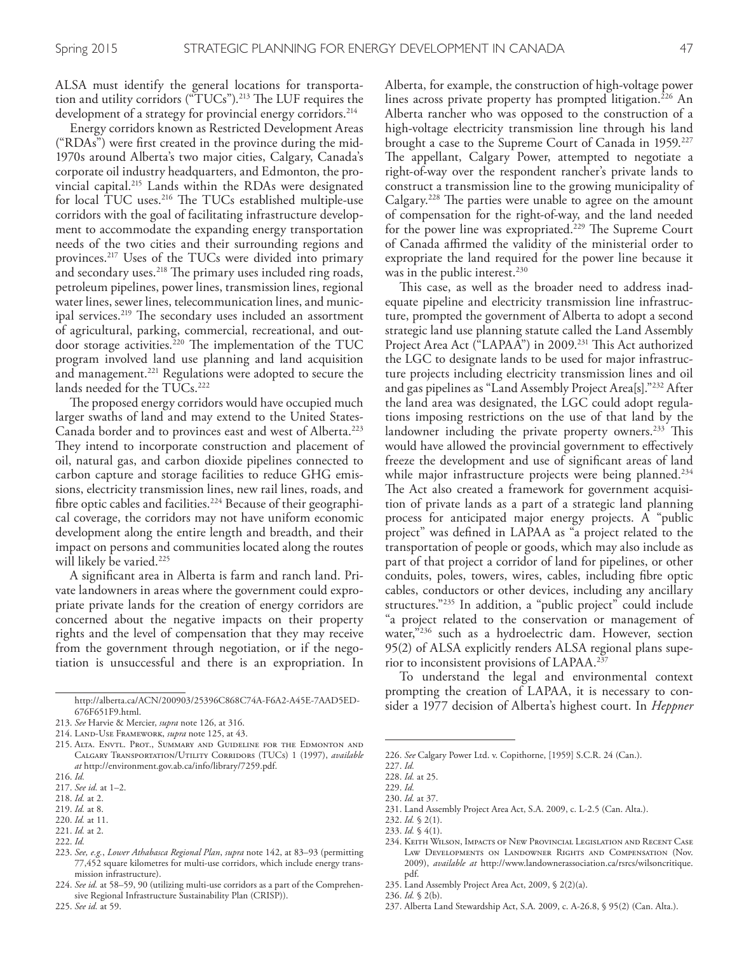ALSA must identify the general locations for transportation and utility corridors ("TUCs").<sup>213</sup> The LUF requires the development of a strategy for provincial energy corridors. 214

Energy corridors known as Restricted Development Areas ("RDAs") were frst created in the province during the mid-1970s around Alberta's two major cities, Calgary, Canada's corporate oil industry headquarters, and Edmonton, the provincial capital. 215 Lands within the RDAs were designated for local TUC uses.<sup>216</sup> The TUCs established multiple-use corridors with the goal of facilitating infrastructure development to accommodate the expanding energy transportation needs of the two cities and their surrounding regions and provinces. 217 Uses of the TUCs were divided into primary and secondary uses.<sup>218</sup> The primary uses included ring roads, petroleum pipelines, power lines, transmission lines, regional water lines, sewer lines, telecommunication lines, and municipal services.<sup>219</sup> The secondary uses included an assortment of agricultural, parking, commercial, recreational, and outdoor storage activities.<sup>220</sup> The implementation of the TUC program involved land use planning and land acquisition and management. 221 Regulations were adopted to secure the lands needed for the TUCs. 222

The proposed energy corridors would have occupied much larger swaths of land and may extend to the United States-Canada border and to provinces east and west of Alberta. 223 They intend to incorporate construction and placement of oil, natural gas, and carbon dioxide pipelines connected to carbon capture and storage facilities to reduce GHG emissions, electricity transmission lines, new rail lines, roads, and fbre optic cables and facilities. 224 Because of their geographical coverage, the corridors may not have uniform economic development along the entire length and breadth, and their impact on persons and communities located along the routes will likely be varied. 225

A signifcant area in Alberta is farm and ranch land. Private landowners in areas where the government could expropriate private lands for the creation of energy corridors are concerned about the negative impacts on their property rights and the level of compensation that they may receive from the government through negotiation, or if the negotiation is unsuccessful and there is an expropriation. In

219. *Id.* at 8. 220. *Id.* at 11.

222. *Id.*

Alberta, for example, the construction of high-voltage power lines across private property has prompted litigation. 226 An Alberta rancher who was opposed to the construction of a high-voltage electricity transmission line through his land brought a case to the Supreme Court of Canada in 1959. 227 The appellant, Calgary Power, attempted to negotiate a right-of-way over the respondent rancher's private lands to construct a transmission line to the growing municipality of Calgary.<sup>228</sup> The parties were unable to agree on the amount of compensation for the right-of-way, and the land needed for the power line was expropriated.<sup>229</sup> The Supreme Court of Canada afrmed the validity of the ministerial order to expropriate the land required for the power line because it was in the public interest. 230

This case, as well as the broader need to address inadequate pipeline and electricity transmission line infrastructure, prompted the government of Alberta to adopt a second strategic land use planning statute called the Land Assembly Project Area Act ("LAPAA") in 2009.<sup>231</sup> This Act authorized the LGC to designate lands to be used for major infrastructure projects including electricity transmission lines and oil and gas pipelines as "Land Assembly Project Area[s]."232 After the land area was designated, the LGC could adopt regulations imposing restrictions on the use of that land by the landowner including the private property owners.<sup>233</sup> This would have allowed the provincial government to efectively freeze the development and use of signifcant areas of land while major infrastructure projects were being planned. 234 The Act also created a framework for government acquisition of private lands as a part of a strategic land planning process for anticipated major energy projects. A "public project" was defned in LAPAA as "a project related to the transportation of people or goods, which may also include as part of that project a corridor of land for pipelines, or other conduits, poles, towers, wires, cables, including fbre optic cables, conductors or other devices, including any ancillary structures."235 In addition, a "public project" could include "a project related to the conservation or management of water,"<sup>236</sup> such as a hydroelectric dam. However, section 95(2) of ALSA explicitly renders ALSA regional plans superior to inconsistent provisions of LAPAA. 237

To understand the legal and environmental context prompting the creation of LAPAA, it is necessary to consider a 1977 decision of Alberta's highest court. In *Heppner* 

237. Alberta Land Stewardship Act, S.A. 2009, c. A-26.8, § 95(2) (Can. Alta.).

http://alberta.ca/ACN/200903/25396C868C74A-F6A2-A45E-7AAD5ED-676F651F9.html.

<sup>213.</sup> *See* Harvie & Mercier, *supra* note 126, at 316.

<sup>214.</sup> Land-Use Framework, *supra* note 125, at 43.

<sup>215.</sup> Alta. Envtl. Prot., Summary and Guideline for the Edmonton and Calgary Transportation/Utility Corridors (TUCs) 1 (1997), *available at* http://environment.gov.ab.ca/info/library/7259.pdf.

<sup>216.</sup> *Id.*

<sup>217.</sup> *See id.* at 1–2.

<sup>218.</sup> *Id.* at 2.

<sup>221.</sup> *Id.* at 2.

<sup>223.</sup> *See, e.g.*, *Lower Athabasca Regional Plan*, *supra* note 142, at 83–93 (permitting 77,452 square kilometres for multi-use corridors, which include energy transmission infrastructure).

<sup>224.</sup> *See id.* at 58–59, 90 (utilizing multi-use corridors as a part of the Comprehensive Regional Infrastructure Sustainability Plan (CRISP)).

<sup>226.</sup> *See* Calgary Power Ltd. v. Copithorne, [1959] S.C.R. 24 (Can.).

<sup>227.</sup> *Id.*

<sup>228.</sup> *Id.* at 25.

<sup>229.</sup> *Id.*

<sup>230.</sup> *Id.* at 37.

<sup>231.</sup> Land Assembly Project Area Act, S.A. 2009, c. L-2.5 (Can. Alta.).

<sup>232.</sup> *Id.* § 2(1). 233. *Id.* § 4(1).

<sup>234.</sup> Keith Wilson, Impacts of New Provincial Legislation and Recent Case Law Developments on Landowner Rights and Compensation (Nov. 2009), *available at* http://www.landownerassociation.ca/rsrcs/wilsoncritique. pdf.

<sup>235.</sup> Land Assembly Project Area Act, 2009, § 2(2)(a).

<sup>236.</sup> *Id.* § 2(b).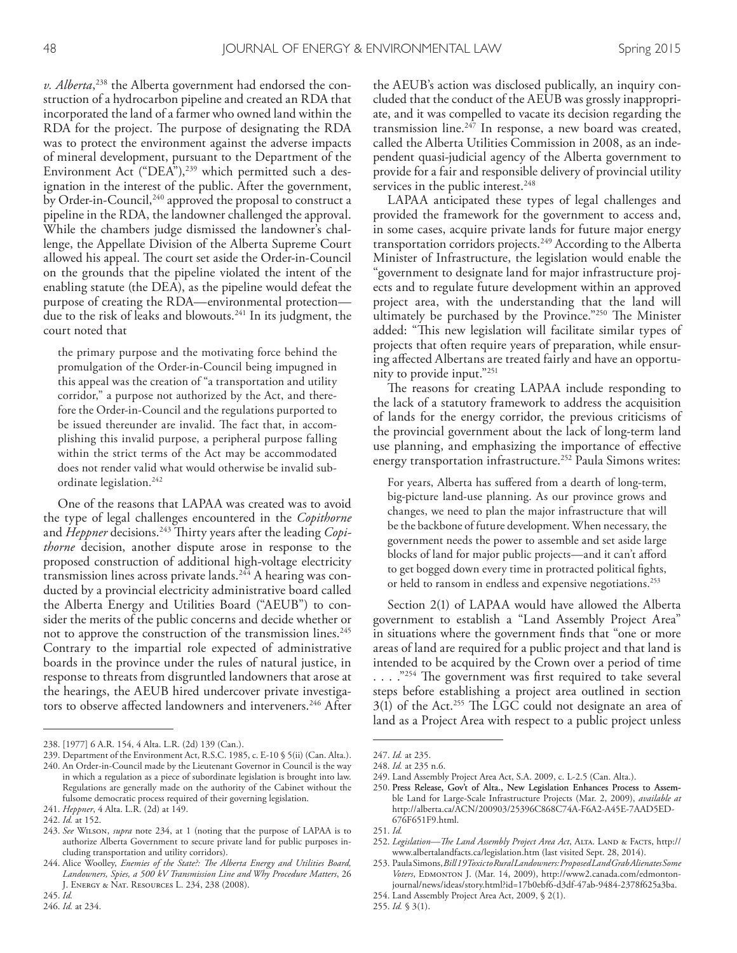*v. Alberta*, 238 the Alberta government had endorsed the construction of a hydrocarbon pipeline and created an RDA that incorporated the land of a farmer who owned land within the RDA for the project. The purpose of designating the RDA was to protect the environment against the adverse impacts of mineral development, pursuant to the Department of the Environment Act ("DEA"),<sup>239</sup> which permitted such a designation in the interest of the public. After the government, by Order-in-Council,<sup>240</sup> approved the proposal to construct a pipeline in the RDA, the landowner challenged the approval. While the chambers judge dismissed the landowner's challenge, the Appellate Division of the Alberta Supreme Court allowed his appeal. The court set aside the Order-in-Council on the grounds that the pipeline violated the intent of the enabling statute (the DEA), as the pipeline would defeat the purpose of creating the RDA—environmental protection due to the risk of leaks and blowouts. 241 In its judgment, the court noted that

the primary purpose and the motivating force behind the promulgation of the Order-in-Council being impugned in this appeal was the creation of "a transportation and utility corridor," a purpose not authorized by the Act, and therefore the Order-in-Council and the regulations purported to be issued thereunder are invalid. The fact that, in accomplishing this invalid purpose, a peripheral purpose falling within the strict terms of the Act may be accommodated does not render valid what would otherwise be invalid subordinate legislation. 242

One of the reasons that LAPAA was created was to avoid the type of legal challenges encountered in the *Copithorne* and *Heppner* decisions.<sup>243</sup> Thirty years after the leading *Copithorne* decision, another dispute arose in response to the proposed construction of additional high-voltage electricity transmission lines across private lands.<sup>244</sup> A hearing was conducted by a provincial electricity administrative board called the Alberta Energy and Utilities Board ("AEUB") to consider the merits of the public concerns and decide whether or not to approve the construction of the transmission lines. 245 Contrary to the impartial role expected of administrative boards in the province under the rules of natural justice, in response to threats from disgruntled landowners that arose at the hearings, the AEUB hired undercover private investigators to observe afected landowners and interveners. 246 After the AEUB's action was disclosed publically, an inquiry concluded that the conduct of the AEUB was grossly inappropriate, and it was compelled to vacate its decision regarding the transmission line.<sup>247</sup> In response, a new board was created, called the Alberta Utilities Commission in 2008, as an independent quasi-judicial agency of the Alberta government to provide for a fair and responsible delivery of provincial utility services in the public interest. 248

LAPAA anticipated these types of legal challenges and provided the framework for the government to access and, in some cases, acquire private lands for future major energy transportation corridors projects. 249 According to the Alberta Minister of Infrastructure, the legislation would enable the "government to designate land for major infrastructure projects and to regulate future development within an approved project area, with the understanding that the land will ultimately be purchased by the Province."<sup>250</sup> The Minister added: "This new legislation will facilitate similar types of projects that often require years of preparation, while ensuring afected Albertans are treated fairly and have an opportunity to provide input."251

The reasons for creating LAPAA include responding to the lack of a statutory framework to address the acquisition of lands for the energy corridor, the previous criticisms of the provincial government about the lack of long-term land use planning, and emphasizing the importance of efective energy transportation infrastructure. 252 Paula Simons writes:

For years, Alberta has sufered from a dearth of long-term, big-picture land-use planning. As our province grows and changes, we need to plan the major infrastructure that will be the backbone of future development. When necessary, the government needs the power to assemble and set aside large blocks of land for major public projects—and it can't aford to get bogged down every time in protracted political fghts, or held to ransom in endless and expensive negotiations. 253

Section 2(1) of LAPAA would have allowed the Alberta government to establish a "Land Assembly Project Area" in situations where the government fnds that "one or more areas of land are required for a public project and that land is intended to be acquired by the Crown over a period of time  $\ldots$ ."<sup>254</sup> The government was first required to take several steps before establishing a project area outlined in section 3(1) of the Act.<sup>255</sup> The LGC could not designate an area of land as a Project Area with respect to a public project unless

249. Land Assembly Project Area Act, S.A. 2009, c. L-2.5 (Can. Alta.).

- 251. *Id.*
- 252. *Legislation—Te Land Assembly Project Area Act*, Alta. Land & Facts, http:// www.albertalandfacts.ca/legislation.htm (last visited Sept. 28, 2014).

<sup>238.</sup> [1977] 6 A.R. 154, 4 Alta. L.R. (2d) 139 (Can.).

<sup>239.</sup> Department of the Environment Act, R.S.C. 1985, c. E-10 § 5(ii) (Can. Alta.).

<sup>240.</sup> An Order-in-Council made by the Lieutenant Governor in Council is the way in which a regulation as a piece of subordinate legislation is brought into law. Regulations are generally made on the authority of the Cabinet without the fulsome democratic process required of their governing legislation.

<sup>241.</sup> *Heppner*, 4 Alta. L.R. (2d) at 149.

<sup>242.</sup> *Id.* at 152.

<sup>243.</sup> *See* Wilson, *supra* note 234, at 1 (noting that the purpose of LAPAA is to authorize Alberta Government to secure private land for public purposes including transportation and utility corridors).

<sup>244.</sup> Alice Woolley, *Enemies of the State?: Te Alberta Energy and Utilities Board, Landowners, Spies, a 500 kV Transmission Line and Why Procedure Matters*, 26 J. Energy & Nat. Resources L. 234, 238 (2008).

<sup>247.</sup> *Id.* at 235.

<sup>248.</sup> *Id.* at 235 n.6.

<sup>250.</sup> Press Release, Gov't of Alta., New Legislation Enhances Process to Assemble Land for Large-Scale Infrastructure Projects (Mar. 2, 2009), *available at* http://alberta.ca/ACN/200903/25396C868C74A-F6A2-A45E-7AAD5ED-676F651F9.html.

<sup>253.</sup> Paula Simons, *Bill 19 Toxic to Rural Landowners: Proposed Land Grab Alienates Some*  Voters, EDMONTON J. (Mar. 14, 2009), http://www2.canada.com/edmontonjournal/news/ideas/story.html?id=17b0ebf6-d3df-47ab-9484-2378f625a3ba. 254. Land Assembly Project Area Act, 2009, § 2(1).

<sup>255.</sup> *Id.* § 3(1).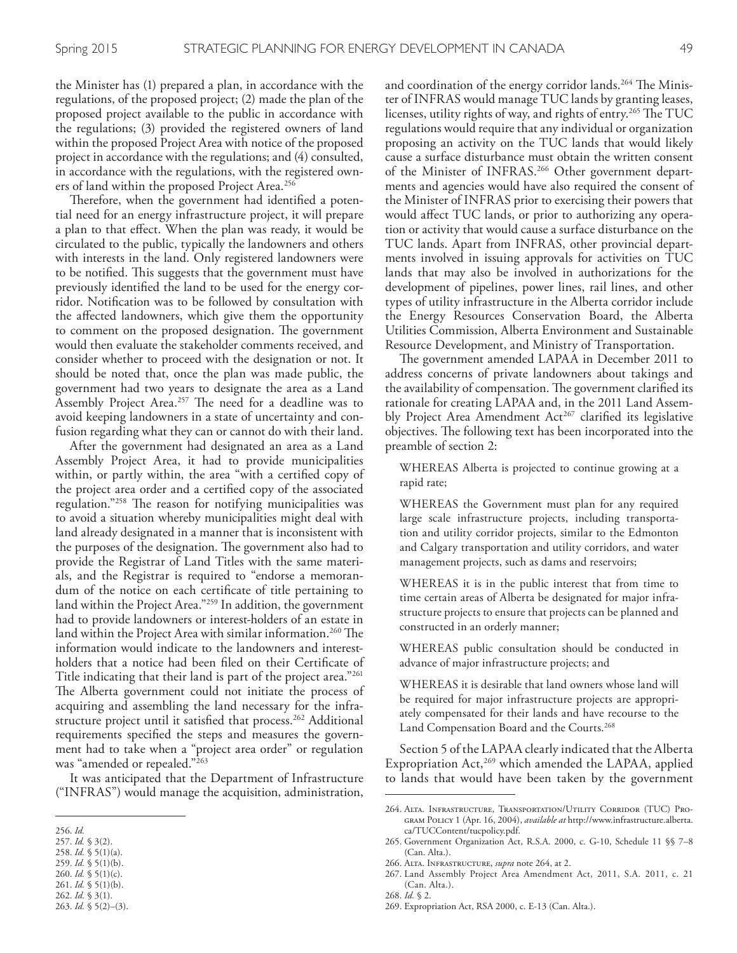the Minister has (1) prepared a plan, in accordance with the regulations, of the proposed project; (2) made the plan of the proposed project available to the public in accordance with the regulations; (3) provided the registered owners of land within the proposed Project Area with notice of the proposed project in accordance with the regulations; and (4) consulted, in accordance with the regulations, with the registered owners of land within the proposed Project Area. 256

Therefore, when the government had identified a potential need for an energy infrastructure project, it will prepare a plan to that efect. When the plan was ready, it would be circulated to the public, typically the landowners and others with interests in the land. Only registered landowners were to be notified. This suggests that the government must have previously identifed the land to be used for the energy corridor. Notifcation was to be followed by consultation with the afected landowners, which give them the opportunity to comment on the proposed designation. The government would then evaluate the stakeholder comments received, and consider whether to proceed with the designation or not. It should be noted that, once the plan was made public, the government had two years to designate the area as a Land Assembly Project Area.<sup>257</sup> The need for a deadline was to avoid keeping landowners in a state of uncertainty and confusion regarding what they can or cannot do with their land.

After the government had designated an area as a Land Assembly Project Area, it had to provide municipalities within, or partly within, the area "with a certifed copy of the project area order and a certifed copy of the associated regulation."<sup>258</sup> The reason for notifying municipalities was to avoid a situation whereby municipalities might deal with land already designated in a manner that is inconsistent with the purposes of the designation. The government also had to provide the Registrar of Land Titles with the same materials, and the Registrar is required to "endorse a memorandum of the notice on each certifcate of title pertaining to land within the Project Area."259 In addition, the government had to provide landowners or interest-holders of an estate in land within the Project Area with similar information.<sup>260</sup> The information would indicate to the landowners and interestholders that a notice had been filed on their Certificate of Title indicating that their land is part of the project area."261 The Alberta government could not initiate the process of acquiring and assembling the land necessary for the infrastructure project until it satisfed that process. 262 Additional requirements specifed the steps and measures the government had to take when a "project area order" or regulation was "amended or repealed."263

It was anticipated that the Department of Infrastructure ("INFRAS") would manage the acquisition, administration,

- 257. *Id.* § 3(2).
- 258. *Id.* § 5(1)(a). 259. *Id.* § 5(1)(b).
- 260. *Id.* § 5(1)(c).
- 261. *Id.* § 5(1)(b).
- 262. *Id.* § 3(1).

and coordination of the energy corridor lands.<sup>264</sup> The Minister of INFRAS would manage TUC lands by granting leases, licenses, utility rights of way, and rights of entry.<sup>265</sup> The TUC regulations would require that any individual or organization proposing an activity on the TUC lands that would likely cause a surface disturbance must obtain the written consent of the Minister of INFRAS. 266 Other government departments and agencies would have also required the consent of the Minister of INFRAS prior to exercising their powers that would afect TUC lands, or prior to authorizing any operation or activity that would cause a surface disturbance on the TUC lands. Apart from INFRAS, other provincial departments involved in issuing approvals for activities on TUC lands that may also be involved in authorizations for the development of pipelines, power lines, rail lines, and other types of utility infrastructure in the Alberta corridor include the Energy Resources Conservation Board, the Alberta Utilities Commission, Alberta Environment and Sustainable Resource Development, and Ministry of Transportation.

The government amended LAPAA in December 2011 to address concerns of private landowners about takings and the availability of compensation. The government clarified its rationale for creating LAPAA and, in the 2011 Land Assembly Project Area Amendment Act<sup>267</sup> clarified its legislative objectives. The following text has been incorporated into the preamble of section 2:

WHEREAS Alberta is projected to continue growing at a rapid rate;

WHEREAS the Government must plan for any required large scale infrastructure projects, including transportation and utility corridor projects, similar to the Edmonton and Calgary transportation and utility corridors, and water management projects, such as dams and reservoirs;

WHEREAS it is in the public interest that from time to time certain areas of Alberta be designated for major infrastructure projects to ensure that projects can be planned and constructed in an orderly manner;

WHEREAS public consultation should be conducted in advance of major infrastructure projects; and

WHEREAS it is desirable that land owners whose land will be required for major infrastructure projects are appropriately compensated for their lands and have recourse to the Land Compensation Board and the Courts. 268

Section 5 of the LAPAA clearly indicated that the Alberta Expropriation Act,<sup>269</sup> which amended the LAPAA, applied to lands that would have been taken by the government

266. Alta. Infrastructure, *supra* note 264, at 2.

<sup>256.</sup> *Id.*

<sup>263.</sup> *Id.* § 5(2)–(3).

<sup>264.</sup> Alta. Infrastructure, Transportation/Utility Corridor (TUC) Program Policy 1 (Apr. 16, 2004), *available at* http://www.infrastructure.alberta. ca/TUCContent/tucpolicy.pdf.

<sup>265.</sup> Government Organization Act, R.S.A. 2000, c. G-10, Schedule 11 §§ 7–8 (Can. Alta.).

<sup>267.</sup> Land Assembly Project Area Amendment Act, 2011, S.A. 2011, c. 21 (Can. Alta.).

<sup>268.</sup> *Id.* § 2.

<sup>269.</sup> Expropriation Act, RSA 2000, c. E-13 (Can. Alta.).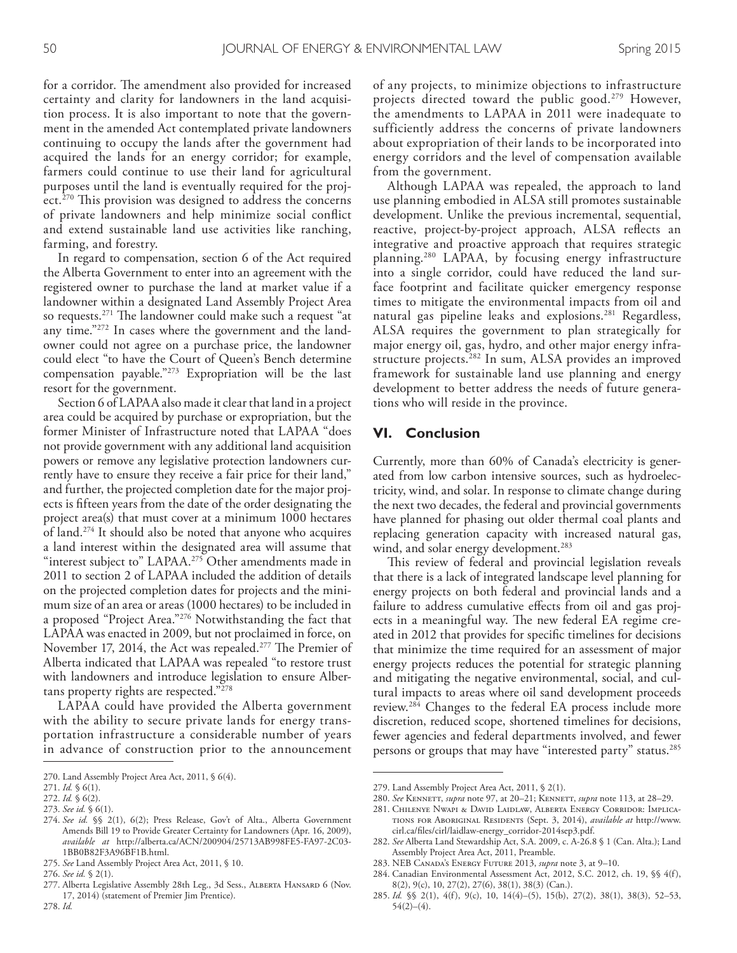for a corridor. The amendment also provided for increased certainty and clarity for landowners in the land acquisition process. It is also important to note that the government in the amended Act contemplated private landowners continuing to occupy the lands after the government had acquired the lands for an energy corridor; for example, farmers could continue to use their land for agricultural purposes until the land is eventually required for the project.<sup>270</sup> This provision was designed to address the concerns of private landowners and help minimize social confict and extend sustainable land use activities like ranching, farming, and forestry.

In regard to compensation, section 6 of the Act required the Alberta Government to enter into an agreement with the registered owner to purchase the land at market value if a landowner within a designated Land Assembly Project Area so requests.<sup>271</sup> The landowner could make such a request "at any time."272 In cases where the government and the landowner could not agree on a purchase price, the landowner could elect "to have the Court of Queen's Bench determine compensation payable."273 Expropriation will be the last resort for the government.

Section 6 of LAPAA also made it clear that land in a project area could be acquired by purchase or expropriation, but the former Minister of Infrastructure noted that LAPAA "does not provide government with any additional land acquisition powers or remove any legislative protection landowners currently have to ensure they receive a fair price for their land," and further, the projected completion date for the major projects is ffteen years from the date of the order designating the project area(s) that must cover at a minimum 1000 hectares of land. 274 It should also be noted that anyone who acquires a land interest within the designated area will assume that "interest subject to" LAPAA. 275 Other amendments made in 2011 to section 2 of LAPAA included the addition of details on the projected completion dates for projects and the minimum size of an area or areas (1000 hectares) to be included in a proposed "Project Area."276 Notwithstanding the fact that LAPAA was enacted in 2009, but not proclaimed in force, on November 17, 2014, the Act was repealed.<sup>277</sup> The Premier of Alberta indicated that LAPAA was repealed "to restore trust with landowners and introduce legislation to ensure Albertans property rights are respected."278

LAPAA could have provided the Alberta government with the ability to secure private lands for energy transportation infrastructure a considerable number of years in advance of construction prior to the announcement

278. *Id.*

of any projects, to minimize objections to infrastructure projects directed toward the public good. 279 However, the amendments to LAPAA in 2011 were inadequate to sufficiently address the concerns of private landowners about expropriation of their lands to be incorporated into energy corridors and the level of compensation available from the government.

Although LAPAA was repealed, the approach to land use planning embodied in ALSA still promotes sustainable development. Unlike the previous incremental, sequential, reactive, project-by-project approach, ALSA refects an integrative and proactive approach that requires strategic planning. 280 LAPAA, by focusing energy infrastructure into a single corridor, could have reduced the land surface footprint and facilitate quicker emergency response times to mitigate the environmental impacts from oil and natural gas pipeline leaks and explosions. 281 Regardless, ALSA requires the government to plan strategically for major energy oil, gas, hydro, and other major energy infrastructure projects. 282 In sum, ALSA provides an improved framework for sustainable land use planning and energy development to better address the needs of future generations who will reside in the province.

#### **VI. Conclusion**

Currently, more than 60% of Canada's electricity is generated from low carbon intensive sources, such as hydroelectricity, wind, and solar. In response to climate change during the next two decades, the federal and provincial governments have planned for phasing out older thermal coal plants and replacing generation capacity with increased natural gas, wind, and solar energy development. 283

This review of federal and provincial legislation reveals that there is a lack of integrated landscape level planning for energy projects on both federal and provincial lands and a failure to address cumulative efects from oil and gas projects in a meaningful way. The new federal EA regime created in 2012 that provides for specifc timelines for decisions that minimize the time required for an assessment of major energy projects reduces the potential for strategic planning and mitigating the negative environmental, social, and cultural impacts to areas where oil sand development proceeds review. 284 Changes to the federal EA process include more discretion, reduced scope, shortened timelines for decisions, fewer agencies and federal departments involved, and fewer persons or groups that may have "interested party" status.<sup>285</sup>

- 283. NEB Canada's Energy Future 2013, *supra* note 3, at 9–10.
- 284. Canadian Environmental Assessment Act, 2012, S.C. 2012, ch. 19, §§ 4(f), 8(2), 9(c), 10, 27(2), 27(6), 38(1), 38(3) (Can.).

<sup>270.</sup> Land Assembly Project Area Act, 2011, § 6(4).

<sup>271.</sup> *Id.* § 6(1).

<sup>272.</sup> *Id.* § 6(2).

<sup>273.</sup> *See id.* § 6(1).

<sup>274.</sup> *See id.* §§ 2(1), 6(2); Press Release, Gov't of Alta., Alberta Government Amends Bill 19 to Provide Greater Certainty for Landowners (Apr. 16, 2009), *available at* http://alberta.ca/ACN/200904/25713AB998FE5-FA97-2C03- 1BB0B82F3A96BF1B.html.

<sup>275.</sup> *See* Land Assembly Project Area Act, 2011, § 10.

<sup>276.</sup> *See id.* § 2(1).

<sup>277.</sup> Alberta Legislative Assembly 28th Leg., 3d Sess., Alberta Hansard 6 (Nov. 17, 2014) (statement of Premier Jim Prentice).

<sup>279.</sup> Land Assembly Project Area Act, 2011, § 2(1).

<sup>280.</sup> *See* Kennett, *supra* note 97, at 20–21; Kennett, *supra* note 113, at 28–29.

<sup>281.</sup> Chilenye Nwapi & David Laidlaw, Alberta Energy Corridor: Implications for Aboriginal Residents (Sept. 3, 2014), *available at* http://www. cirl.ca/fles/cirl/laidlaw-energy\_corridor-2014sep3.pdf.

<sup>282.</sup> *See* Alberta Land Stewardship Act, S.A. 2009, c. A-26.8 § 1 (Can. Alta.); Land Assembly Project Area Act, 2011, Preamble.

<sup>285.</sup> *Id.* §§ 2(1), 4(f), 9(c), 10, 14(4)–(5), 15(b), 27(2), 38(1), 38(3), 52–53, 54(2)–(4).